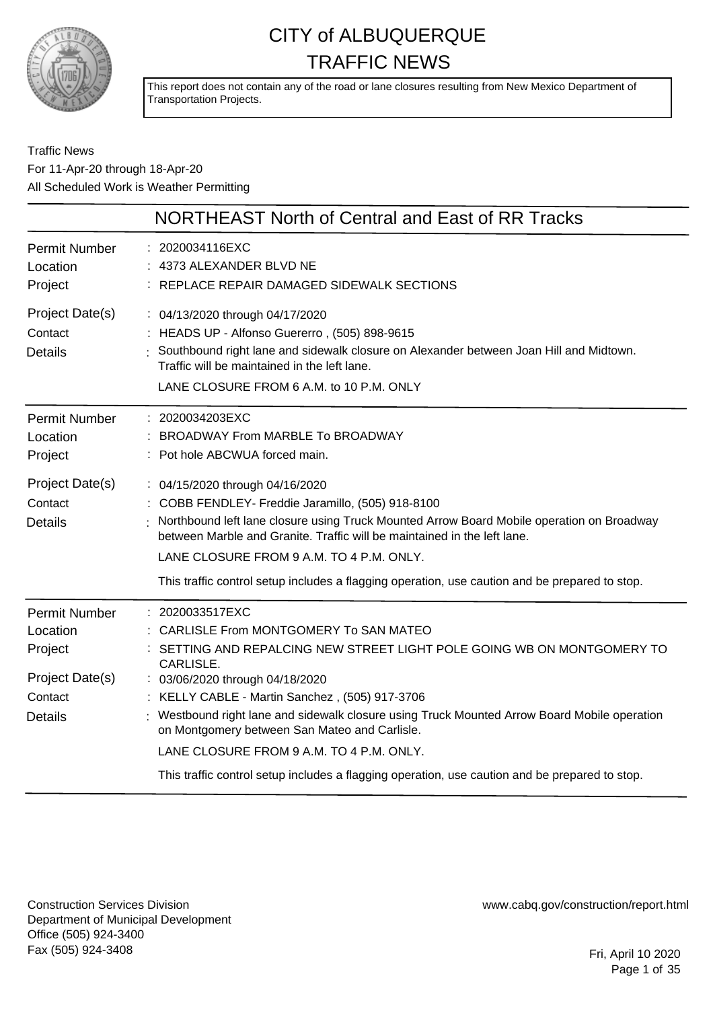

This report does not contain any of the road or lane closures resulting from New Mexico Department of Transportation Projects.

#### Traffic News For 11-Apr-20 through 18-Apr-20 All Scheduled Work is Weather Permitting

| NORTHEAST North of Central and East of RR Tracks                                                                                                                                                                                                                                                                                                                                                                                                                                                                                     |
|--------------------------------------------------------------------------------------------------------------------------------------------------------------------------------------------------------------------------------------------------------------------------------------------------------------------------------------------------------------------------------------------------------------------------------------------------------------------------------------------------------------------------------------|
| : 2020034116EXC<br>4373 ALEXANDER BLVD NE<br>: REPLACE REPAIR DAMAGED SIDEWALK SECTIONS                                                                                                                                                                                                                                                                                                                                                                                                                                              |
| : 04/13/2020 through 04/17/2020<br>: HEADS UP - Alfonso Guererro, (505) 898-9615<br>: Southbound right lane and sidewalk closure on Alexander between Joan Hill and Midtown.<br>Traffic will be maintained in the left lane.<br>LANE CLOSURE FROM 6 A.M. to 10 P.M. ONLY                                                                                                                                                                                                                                                             |
| : 2020034203EXC<br>: BROADWAY From MARBLE To BROADWAY<br>: Pot hole ABCWUA forced main.                                                                                                                                                                                                                                                                                                                                                                                                                                              |
| : 04/15/2020 through 04/16/2020<br>: COBB FENDLEY- Freddie Jaramillo, (505) 918-8100<br>Northbound left lane closure using Truck Mounted Arrow Board Mobile operation on Broadway<br>between Marble and Granite. Traffic will be maintained in the left lane.<br>LANE CLOSURE FROM 9 A.M. TO 4 P.M. ONLY.<br>This traffic control setup includes a flagging operation, use caution and be prepared to stop.                                                                                                                          |
| : 2020033517EXC<br>: CARLISLE From MONTGOMERY To SAN MATEO<br>SETTING AND REPALCING NEW STREET LIGHT POLE GOING WB ON MONTGOMERY TO<br>CARLISLE.<br>: 03/06/2020 through 04/18/2020<br>: KELLY CABLE - Martin Sanchez, (505) 917-3706<br>: Westbound right lane and sidewalk closure using Truck Mounted Arrow Board Mobile operation<br>on Montgomery between San Mateo and Carlisle.<br>LANE CLOSURE FROM 9 A.M. TO 4 P.M. ONLY.<br>This traffic control setup includes a flagging operation, use caution and be prepared to stop. |
|                                                                                                                                                                                                                                                                                                                                                                                                                                                                                                                                      |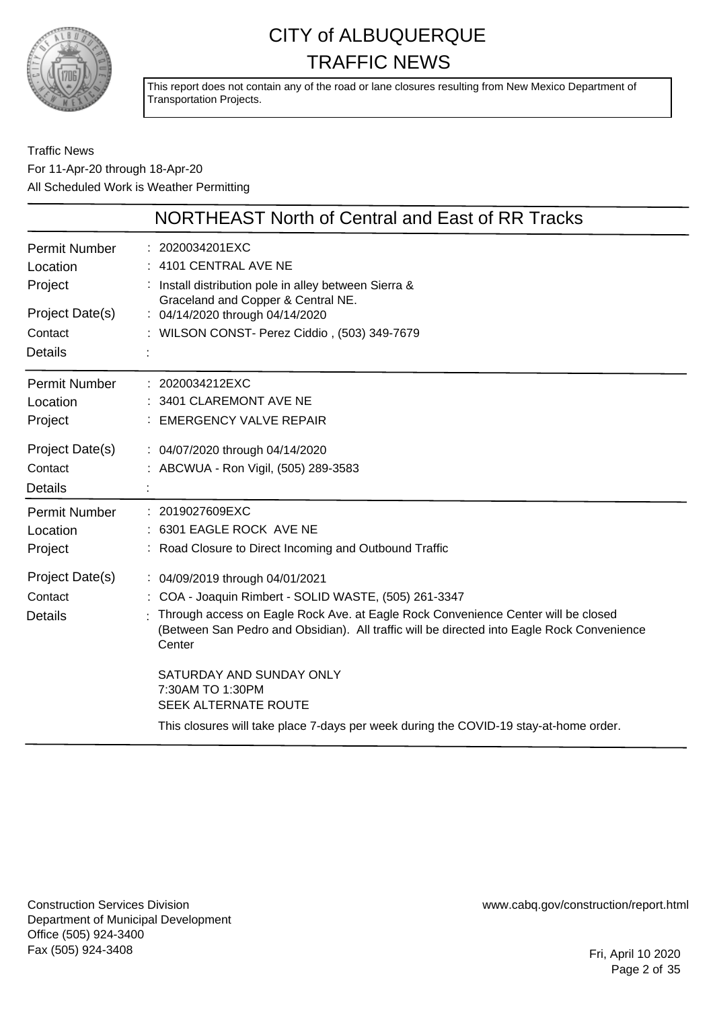

This report does not contain any of the road or lane closures resulting from New Mexico Department of Transportation Projects.

#### Traffic News For 11-Apr-20 through 18-Apr-20 All Scheduled Work is Weather Permitting

|                 | NORTHEAST North of Central and East of RR Tracks                                                                                                                                          |
|-----------------|-------------------------------------------------------------------------------------------------------------------------------------------------------------------------------------------|
| Permit Number   | : 2020034201EXC                                                                                                                                                                           |
| Location        | : 4101 CENTRAL AVE NE                                                                                                                                                                     |
| Project         | : Install distribution pole in alley between Sierra &<br>Graceland and Copper & Central NE.                                                                                               |
| Project Date(s) | : 04/14/2020 through 04/14/2020                                                                                                                                                           |
| Contact         | : WILSON CONST- Perez Ciddio, (503) 349-7679                                                                                                                                              |
| <b>Details</b>  |                                                                                                                                                                                           |
| Permit Number   | : 2020034212EXC                                                                                                                                                                           |
| Location        | : 3401 CLAREMONT AVE NE                                                                                                                                                                   |
| Project         | : EMERGENCY VALVE REPAIR                                                                                                                                                                  |
| Project Date(s) | : 04/07/2020 through 04/14/2020                                                                                                                                                           |
| Contact         | : ABCWUA - Ron Vigil, (505) 289-3583                                                                                                                                                      |
| <b>Details</b>  |                                                                                                                                                                                           |
| Permit Number   | : 2019027609EXC                                                                                                                                                                           |
| Location        | : 6301 EAGLE ROCK AVE NE                                                                                                                                                                  |
| Project         | : Road Closure to Direct Incoming and Outbound Traffic                                                                                                                                    |
| Project Date(s) | : 04/09/2019 through 04/01/2021                                                                                                                                                           |
| Contact         | : COA - Joaquin Rimbert - SOLID WASTE, (505) 261-3347                                                                                                                                     |
| <b>Details</b>  | Through access on Eagle Rock Ave. at Eagle Rock Convenience Center will be closed<br>(Between San Pedro and Obsidian). All traffic will be directed into Eagle Rock Convenience<br>Center |
|                 | SATURDAY AND SUNDAY ONLY<br>7:30AM TO 1:30PM<br>SEEK ALTERNATE ROUTE                                                                                                                      |
|                 | This closures will take place 7-days per week during the COVID-19 stay-at-home order.                                                                                                     |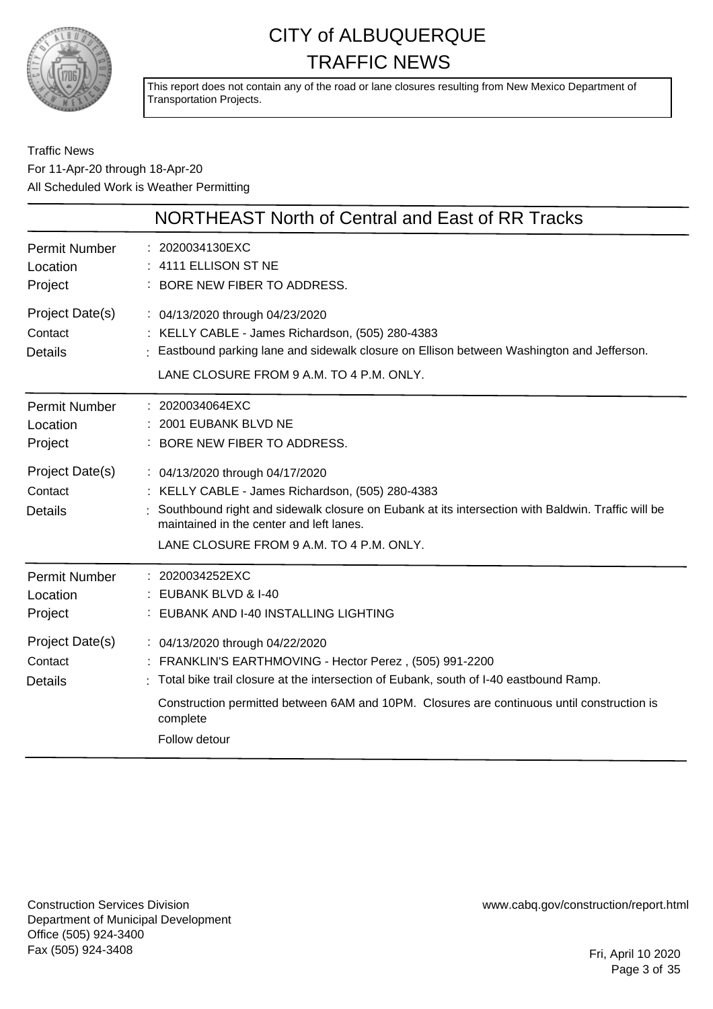

This report does not contain any of the road or lane closures resulting from New Mexico Department of Transportation Projects.

#### Traffic News For 11-Apr-20 through 18-Apr-20 All Scheduled Work is Weather Permitting

|                                              | NORTHEAST North of Central and East of RR Tracks                                                                                                                                                                                                                                                                 |
|----------------------------------------------|------------------------------------------------------------------------------------------------------------------------------------------------------------------------------------------------------------------------------------------------------------------------------------------------------------------|
| <b>Permit Number</b><br>Location<br>Project  | : 2020034130EXC<br>: 4111 ELLISON ST NE<br>: BORE NEW FIBER TO ADDRESS.                                                                                                                                                                                                                                          |
| Project Date(s)<br>Contact<br>Details        | : 04/13/2020 through 04/23/2020<br>: KELLY CABLE - James Richardson, (505) 280-4383<br>: Eastbound parking lane and sidewalk closure on Ellison between Washington and Jefferson.<br>LANE CLOSURE FROM 9 A.M. TO 4 P.M. ONLY.                                                                                    |
| <b>Permit Number</b><br>Location<br>Project  | : 2020034064EXC<br>: 2001 EUBANK BLVD NE<br>: BORE NEW FIBER TO ADDRESS.                                                                                                                                                                                                                                         |
| Project Date(s)<br>Contact<br><b>Details</b> | : 04/13/2020 through 04/17/2020<br>: KELLY CABLE - James Richardson, (505) 280-4383<br>: Southbound right and sidewalk closure on Eubank at its intersection with Baldwin. Traffic will be<br>maintained in the center and left lanes.<br>LANE CLOSURE FROM 9 A.M. TO 4 P.M. ONLY.                               |
| <b>Permit Number</b><br>Location<br>Project  | : 2020034252EXC<br>$:$ EUBANK BLVD & I-40<br>: EUBANK AND I-40 INSTALLING LIGHTING                                                                                                                                                                                                                               |
| Project Date(s)<br>Contact<br><b>Details</b> | : 04/13/2020 through 04/22/2020<br>: FRANKLIN'S EARTHMOVING - Hector Perez, (505) 991-2200<br>: Total bike trail closure at the intersection of Eubank, south of I-40 eastbound Ramp.<br>Construction permitted between 6AM and 10PM. Closures are continuous until construction is<br>complete<br>Follow detour |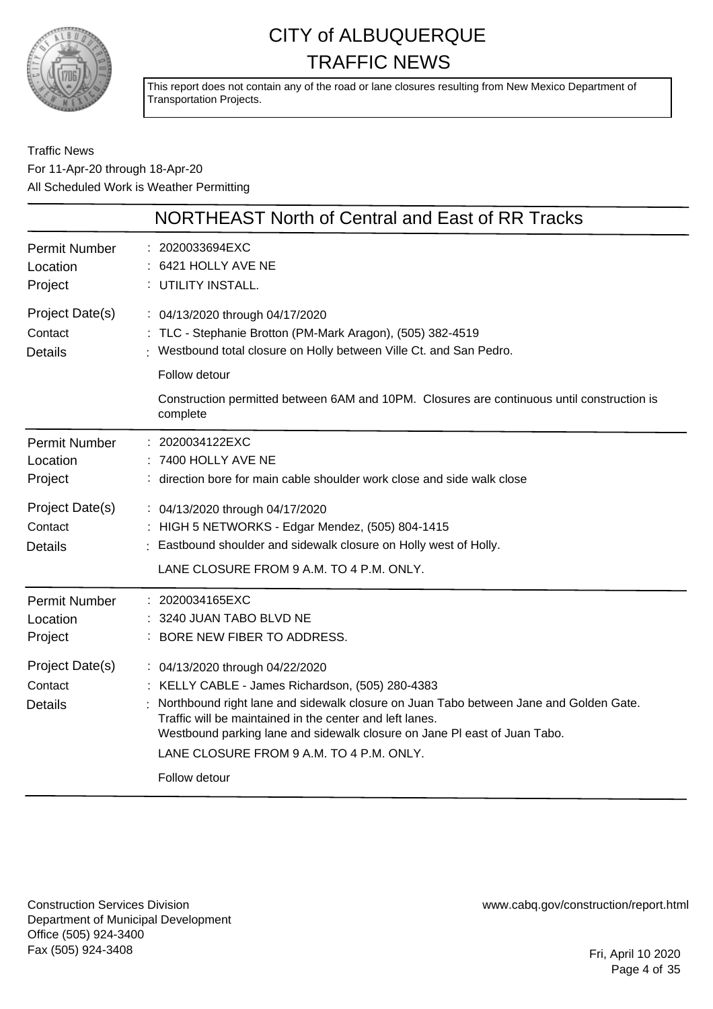

This report does not contain any of the road or lane closures resulting from New Mexico Department of Transportation Projects.

#### Traffic News For 11-Apr-20 through 18-Apr-20 All Scheduled Work is Weather Permitting

|                                                                                             | NORTHEAST North of Central and East of RR Tracks                                                                                                                                                                                                                                                                                                                                   |
|---------------------------------------------------------------------------------------------|------------------------------------------------------------------------------------------------------------------------------------------------------------------------------------------------------------------------------------------------------------------------------------------------------------------------------------------------------------------------------------|
| <b>Permit Number</b><br>Location<br>Project                                                 | 2020033694EXC<br>6421 HOLLY AVE NE<br>: UTILITY INSTALL.                                                                                                                                                                                                                                                                                                                           |
| Project Date(s)<br>Contact<br><b>Details</b>                                                | : 04/13/2020 through 04/17/2020<br>: TLC - Stephanie Brotton (PM-Mark Aragon), (505) 382-4519<br>Westbound total closure on Holly between Ville Ct. and San Pedro.                                                                                                                                                                                                                 |
|                                                                                             | Follow detour<br>Construction permitted between 6AM and 10PM. Closures are continuous until construction is<br>complete                                                                                                                                                                                                                                                            |
| <b>Permit Number</b><br>Location<br>Project<br>Project Date(s)<br>Contact<br><b>Details</b> | 2020034122EXC<br>7400 HOLLY AVE NE<br>: direction bore for main cable shoulder work close and side walk close<br>: 04/13/2020 through 04/17/2020<br>: HIGH 5 NETWORKS - Edgar Mendez, (505) 804-1415<br>Eastbound shoulder and sidewalk closure on Holly west of Holly.<br>LANE CLOSURE FROM 9 A.M. TO 4 P.M. ONLY.                                                                |
| <b>Permit Number</b><br>Location<br>Project                                                 | 2020034165EXC<br>3240 JUAN TABO BLVD NE<br>BORE NEW FIBER TO ADDRESS.                                                                                                                                                                                                                                                                                                              |
| Project Date(s)<br>Contact<br><b>Details</b>                                                | : 04/13/2020 through 04/22/2020<br>: KELLY CABLE - James Richardson, (505) 280-4383<br>Northbound right lane and sidewalk closure on Juan Tabo between Jane and Golden Gate.<br>Traffic will be maintained in the center and left lanes.<br>Westbound parking lane and sidewalk closure on Jane PI east of Juan Tabo.<br>LANE CLOSURE FROM 9 A.M. TO 4 P.M. ONLY.<br>Follow detour |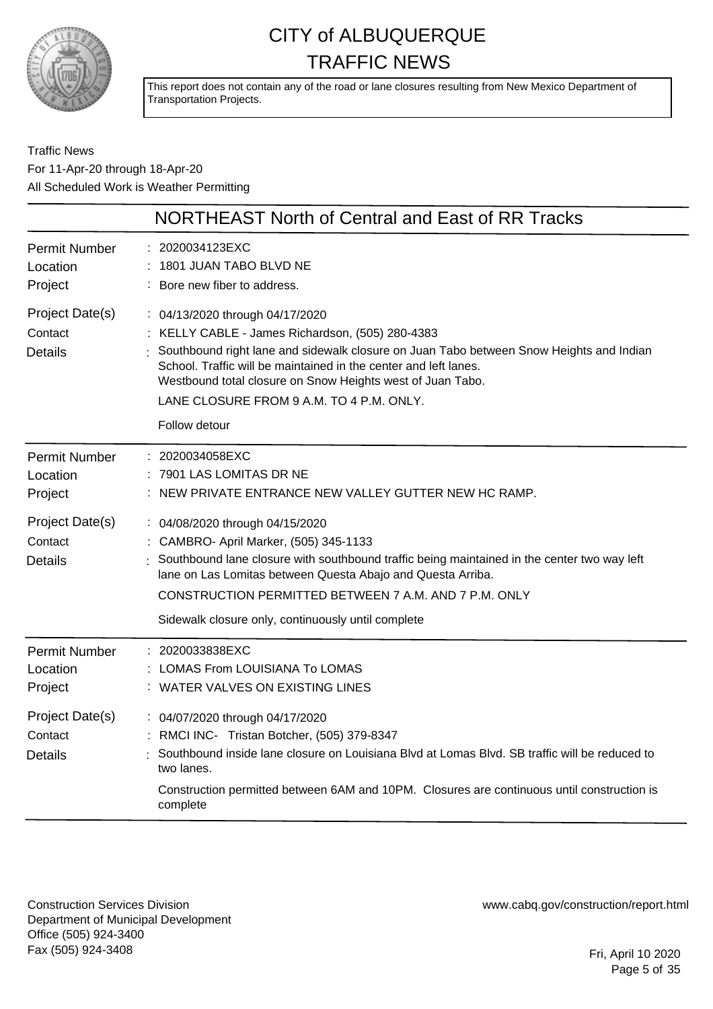

This report does not contain any of the road or lane closures resulting from New Mexico Department of Transportation Projects.

Traffic News For 11-Apr-20 through 18-Apr-20 All Scheduled Work is Weather Permitting

|                                              | NORTHEAST North of Central and East of RR Tracks                                                                                                                                                                                                                                                                                                                            |
|----------------------------------------------|-----------------------------------------------------------------------------------------------------------------------------------------------------------------------------------------------------------------------------------------------------------------------------------------------------------------------------------------------------------------------------|
| <b>Permit Number</b><br>Location<br>Project  | 2020034123EXC<br>1801 JUAN TABO BLVD NE<br>Bore new fiber to address.                                                                                                                                                                                                                                                                                                       |
| Project Date(s)<br>Contact<br><b>Details</b> | : 04/13/2020 through 04/17/2020<br>KELLY CABLE - James Richardson, (505) 280-4383<br>Southbound right lane and sidewalk closure on Juan Tabo between Snow Heights and Indian<br>School. Traffic will be maintained in the center and left lanes.<br>Westbound total closure on Snow Heights west of Juan Tabo.<br>LANE CLOSURE FROM 9 A.M. TO 4 P.M. ONLY.<br>Follow detour |
| <b>Permit Number</b><br>Location<br>Project  | : 2020034058EXC<br>7901 LAS LOMITAS DR NE<br>NEW PRIVATE ENTRANCE NEW VALLEY GUTTER NEW HC RAMP.                                                                                                                                                                                                                                                                            |
| Project Date(s)<br>Contact<br><b>Details</b> | : 04/08/2020 through 04/15/2020<br>: CAMBRO- April Marker, (505) 345-1133<br>Southbound lane closure with southbound traffic being maintained in the center two way left<br>lane on Las Lomitas between Questa Abajo and Questa Arriba.<br>CONSTRUCTION PERMITTED BETWEEN 7 A.M. AND 7 P.M. ONLY<br>Sidewalk closure only, continuously until complete                      |
| <b>Permit Number</b><br>Location<br>Project  | : 2020033838EXC<br>LOMAS From LOUISIANA To LOMAS<br>WATER VALVES ON EXISTING LINES                                                                                                                                                                                                                                                                                          |
| Project Date(s)<br>Contact<br><b>Details</b> | : 04/07/2020 through 04/17/2020<br>RMCI INC- Tristan Botcher, (505) 379-8347<br>Southbound inside lane closure on Louisiana Blvd at Lomas Blvd. SB traffic will be reduced to<br>two lanes.<br>Construction permitted between 6AM and 10PM. Closures are continuous until construction is<br>complete                                                                       |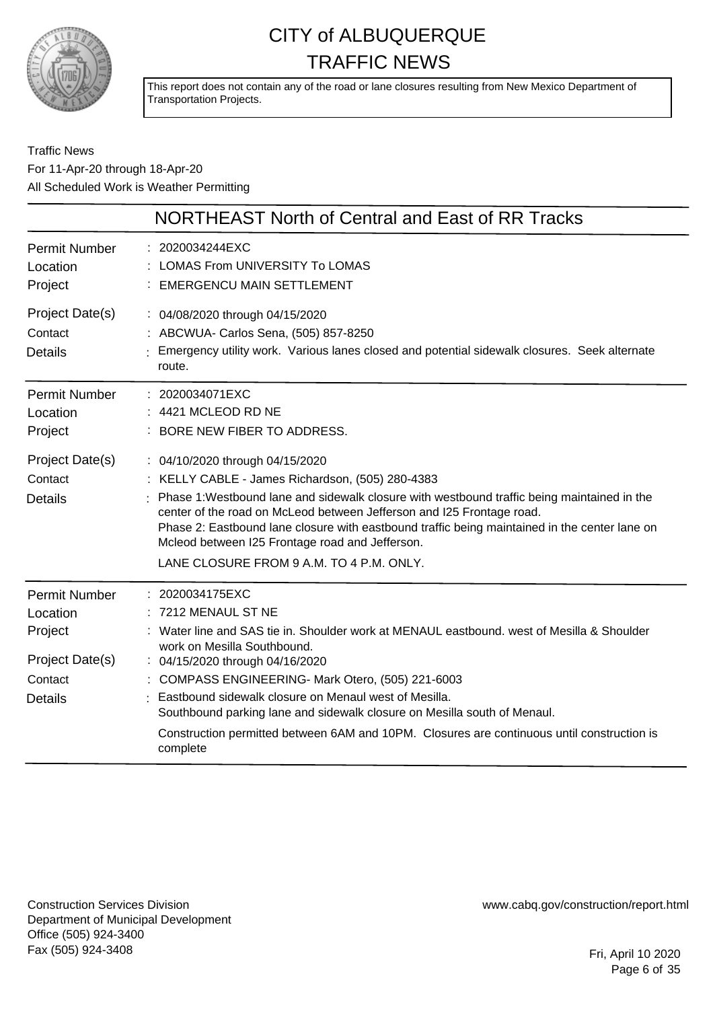

This report does not contain any of the road or lane closures resulting from New Mexico Department of Transportation Projects.

#### Traffic News For 11-Apr-20 through 18-Apr-20 All Scheduled Work is Weather Permitting

|                                                                                             | NORTHEAST North of Central and East of RR Tracks                                                                                                                                                                                                                                                                                                                                                                                                                                                         |
|---------------------------------------------------------------------------------------------|----------------------------------------------------------------------------------------------------------------------------------------------------------------------------------------------------------------------------------------------------------------------------------------------------------------------------------------------------------------------------------------------------------------------------------------------------------------------------------------------------------|
| <b>Permit Number</b><br>Location<br>Project                                                 | : 2020034244EXC<br>: LOMAS From UNIVERSITY To LOMAS<br><b>EMERGENCU MAIN SETTLEMENT</b>                                                                                                                                                                                                                                                                                                                                                                                                                  |
| Project Date(s)<br>Contact<br><b>Details</b>                                                | : 04/08/2020 through 04/15/2020<br>: ABCWUA- Carlos Sena, (505) 857-8250<br>: Emergency utility work. Various lanes closed and potential sidewalk closures. Seek alternate<br>route.                                                                                                                                                                                                                                                                                                                     |
| <b>Permit Number</b><br>Location<br>Project                                                 | : 2020034071EXC<br>: 4421 MCLEOD RD NE<br>: BORE NEW FIBER TO ADDRESS.                                                                                                                                                                                                                                                                                                                                                                                                                                   |
| Project Date(s)<br>Contact<br><b>Details</b>                                                | : 04/10/2020 through 04/15/2020<br>: KELLY CABLE - James Richardson, (505) 280-4383<br>Phase 1: Westbound lane and sidewalk closure with westbound traffic being maintained in the<br>center of the road on McLeod between Jefferson and I25 Frontage road.<br>Phase 2: Eastbound lane closure with eastbound traffic being maintained in the center lane on<br>Mcleod between I25 Frontage road and Jefferson.<br>LANE CLOSURE FROM 9 A.M. TO 4 P.M. ONLY.                                              |
| <b>Permit Number</b><br>Location<br>Project<br>Project Date(s)<br>Contact<br><b>Details</b> | 2020034175EXC<br>: 7212 MENAUL ST NE<br>: Water line and SAS tie in. Shoulder work at MENAUL eastbound. west of Mesilla & Shoulder<br>work on Mesilla Southbound.<br>: 04/15/2020 through 04/16/2020<br>: COMPASS ENGINEERING- Mark Otero, (505) 221-6003<br>Eastbound sidewalk closure on Menaul west of Mesilla.<br>Southbound parking lane and sidewalk closure on Mesilla south of Menaul.<br>Construction permitted between 6AM and 10PM. Closures are continuous until construction is<br>complete |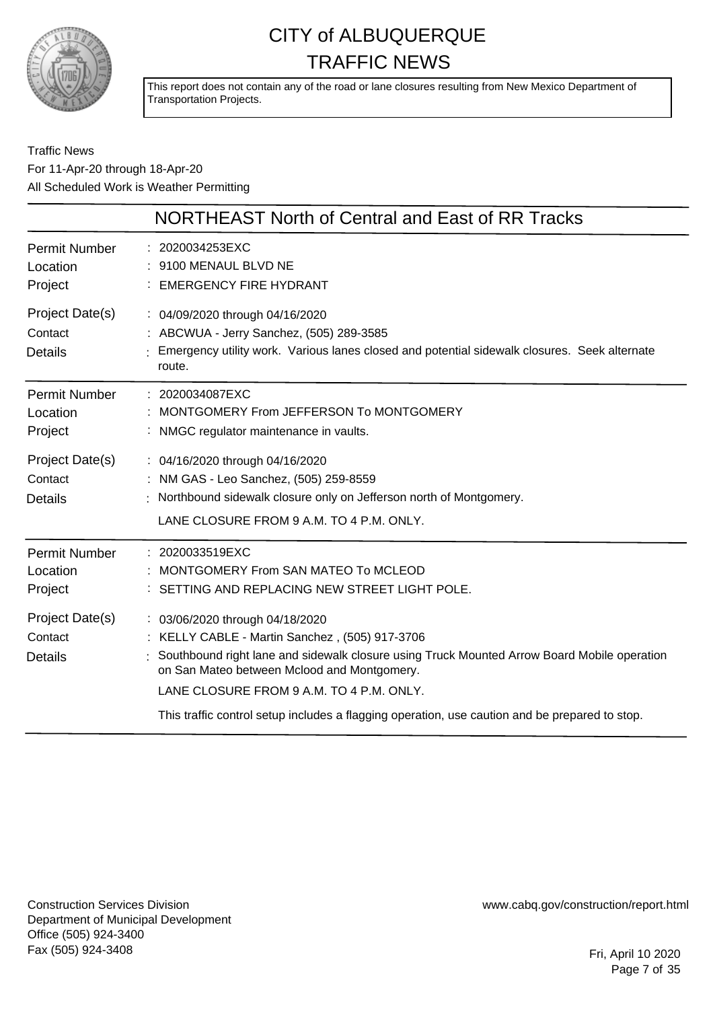

This report does not contain any of the road or lane closures resulting from New Mexico Department of Transportation Projects.

Traffic News For 11-Apr-20 through 18-Apr-20 All Scheduled Work is Weather Permitting

|                                              | NORTHEAST North of Central and East of RR Tracks                                                                                                                                                                                                                                                                                                                              |
|----------------------------------------------|-------------------------------------------------------------------------------------------------------------------------------------------------------------------------------------------------------------------------------------------------------------------------------------------------------------------------------------------------------------------------------|
| <b>Permit Number</b><br>Location<br>Project  | : 2020034253EXC<br>: 9100 MENAUL BLVD NE<br><b>EMERGENCY FIRE HYDRANT</b>                                                                                                                                                                                                                                                                                                     |
| Project Date(s)<br>Contact<br><b>Details</b> | : 04/09/2020 through 04/16/2020<br>: ABCWUA - Jerry Sanchez, (505) 289-3585<br>Emergency utility work. Various lanes closed and potential sidewalk closures. Seek alternate<br>route.                                                                                                                                                                                         |
| <b>Permit Number</b><br>Location<br>Project  | : 2020034087EXC<br>MONTGOMERY From JEFFERSON To MONTGOMERY<br>: NMGC regulator maintenance in vaults.                                                                                                                                                                                                                                                                         |
| Project Date(s)<br>Contact<br><b>Details</b> | : 04/16/2020 through 04/16/2020<br>: NM GAS - Leo Sanchez, (505) 259-8559<br>: Northbound sidewalk closure only on Jefferson north of Montgomery.<br>LANE CLOSURE FROM 9 A.M. TO 4 P.M. ONLY.                                                                                                                                                                                 |
| Permit Number<br>Location<br>Project         | : 2020033519EXC<br>MONTGOMERY From SAN MATEO To MCLEOD<br>: SETTING AND REPLACING NEW STREET LIGHT POLE.                                                                                                                                                                                                                                                                      |
| Project Date(s)<br>Contact<br><b>Details</b> | : 03/06/2020 through 04/18/2020<br>: KELLY CABLE - Martin Sanchez, (505) 917-3706<br>Southbound right lane and sidewalk closure using Truck Mounted Arrow Board Mobile operation<br>on San Mateo between Mclood and Montgomery.<br>LANE CLOSURE FROM 9 A.M. TO 4 P.M. ONLY.<br>This traffic control setup includes a flagging operation, use caution and be prepared to stop. |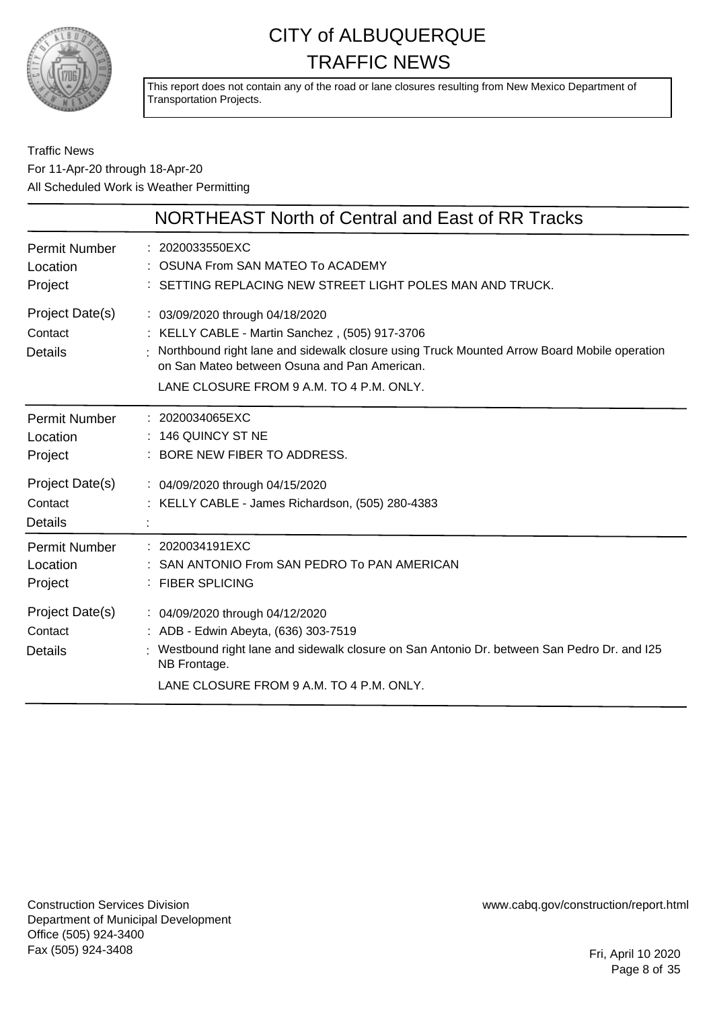

This report does not contain any of the road or lane closures resulting from New Mexico Department of Transportation Projects.

#### Traffic News For 11-Apr-20 through 18-Apr-20 All Scheduled Work is Weather Permitting

|                                              | NORTHEAST North of Central and East of RR Tracks                                                                                                                                                                                                                               |
|----------------------------------------------|--------------------------------------------------------------------------------------------------------------------------------------------------------------------------------------------------------------------------------------------------------------------------------|
| <b>Permit Number</b><br>Location<br>Project  | : 2020033550EXC<br>OSUNA From SAN MATEO To ACADEMY<br>: SETTING REPLACING NEW STREET LIGHT POLES MAN AND TRUCK.                                                                                                                                                                |
| Project Date(s)<br>Contact<br><b>Details</b> | : 03/09/2020 through 04/18/2020<br>: KELLY CABLE - Martin Sanchez, (505) 917-3706<br>: Northbound right lane and sidewalk closure using Truck Mounted Arrow Board Mobile operation<br>on San Mateo between Osuna and Pan American.<br>LANE CLOSURE FROM 9 A.M. TO 4 P.M. ONLY. |
| Permit Number<br>Location<br>Project         | $: 2020034065$ EXC<br>: 146 QUINCY ST NE<br>: BORE NEW FIBER TO ADDRESS.                                                                                                                                                                                                       |
| Project Date(s)<br>Contact<br><b>Details</b> | : 04/09/2020 through 04/15/2020<br>: KELLY CABLE - James Richardson, (505) 280-4383                                                                                                                                                                                            |
| Permit Number<br>Location<br>Project         | : 2020034191EXC<br>SAN ANTONIO From SAN PEDRO To PAN AMERICAN<br>: FIBER SPLICING                                                                                                                                                                                              |
| Project Date(s)<br>Contact<br><b>Details</b> | : 04/09/2020 through 04/12/2020<br>: ADB - Edwin Abeyta, (636) 303-7519<br>: Westbound right lane and sidewalk closure on San Antonio Dr. between San Pedro Dr. and I25<br>NB Frontage.<br>LANE CLOSURE FROM 9 A.M. TO 4 P.M. ONLY.                                            |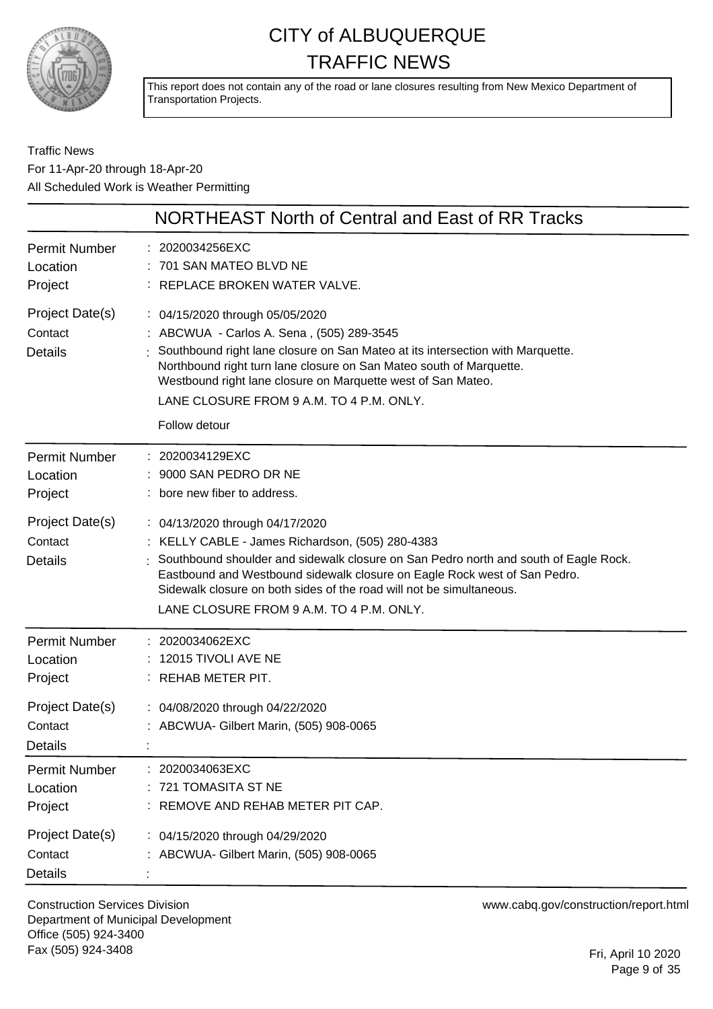

This report does not contain any of the road or lane closures resulting from New Mexico Department of Transportation Projects.

Traffic News For 11-Apr-20 through 18-Apr-20 All Scheduled Work is Weather Permitting

| NORTHEAST North of Central and East of RR Tracks |                                                                                                                                                                                                                                                                                                                                                                              |
|--------------------------------------------------|------------------------------------------------------------------------------------------------------------------------------------------------------------------------------------------------------------------------------------------------------------------------------------------------------------------------------------------------------------------------------|
| <b>Permit Number</b><br>Location<br>Project      | : 2020034256EXC<br>701 SAN MATEO BLVD NE<br>: REPLACE BROKEN WATER VALVE.                                                                                                                                                                                                                                                                                                    |
| Project Date(s)<br>Contact<br><b>Details</b>     | : 04/15/2020 through 05/05/2020<br>: ABCWUA - Carlos A. Sena, (505) 289-3545<br>Southbound right lane closure on San Mateo at its intersection with Marquette.<br>Northbound right turn lane closure on San Mateo south of Marquette.<br>Westbound right lane closure on Marquette west of San Mateo.<br>LANE CLOSURE FROM 9 A.M. TO 4 P.M. ONLY.<br>Follow detour           |
| <b>Permit Number</b><br>Location<br>Project      | : 2020034129EXC<br>9000 SAN PEDRO DR NE<br>: bore new fiber to address.                                                                                                                                                                                                                                                                                                      |
| Project Date(s)<br>Contact<br><b>Details</b>     | : 04/13/2020 through 04/17/2020<br>: KELLY CABLE - James Richardson, (505) 280-4383<br>Southbound shoulder and sidewalk closure on San Pedro north and south of Eagle Rock.<br>Eastbound and Westbound sidewalk closure on Eagle Rock west of San Pedro.<br>Sidewalk closure on both sides of the road will not be simultaneous.<br>LANE CLOSURE FROM 9 A.M. TO 4 P.M. ONLY. |
| <b>Permit Number</b><br>Location<br>Project      | 2020034062EXC<br>12015 TIVOLI AVE NE<br>: REHAB METER PIT.                                                                                                                                                                                                                                                                                                                   |
| Project Date(s)<br>Contact<br><b>Details</b>     | : 04/08/2020 through 04/22/2020<br>: ABCWUA- Gilbert Marin, (505) 908-0065                                                                                                                                                                                                                                                                                                   |
| <b>Permit Number</b><br>Location<br>Project      | 2020034063EXC<br>721 TOMASITA ST NE<br>REMOVE AND REHAB METER PIT CAP.                                                                                                                                                                                                                                                                                                       |
| Project Date(s)<br>Contact<br><b>Details</b>     | : 04/15/2020 through 04/29/2020<br>: ABCWUA- Gilbert Marin, (505) 908-0065                                                                                                                                                                                                                                                                                                   |

Construction Services Division Department of Municipal Development Office (505) 924-3400 Fax (505) 924-3408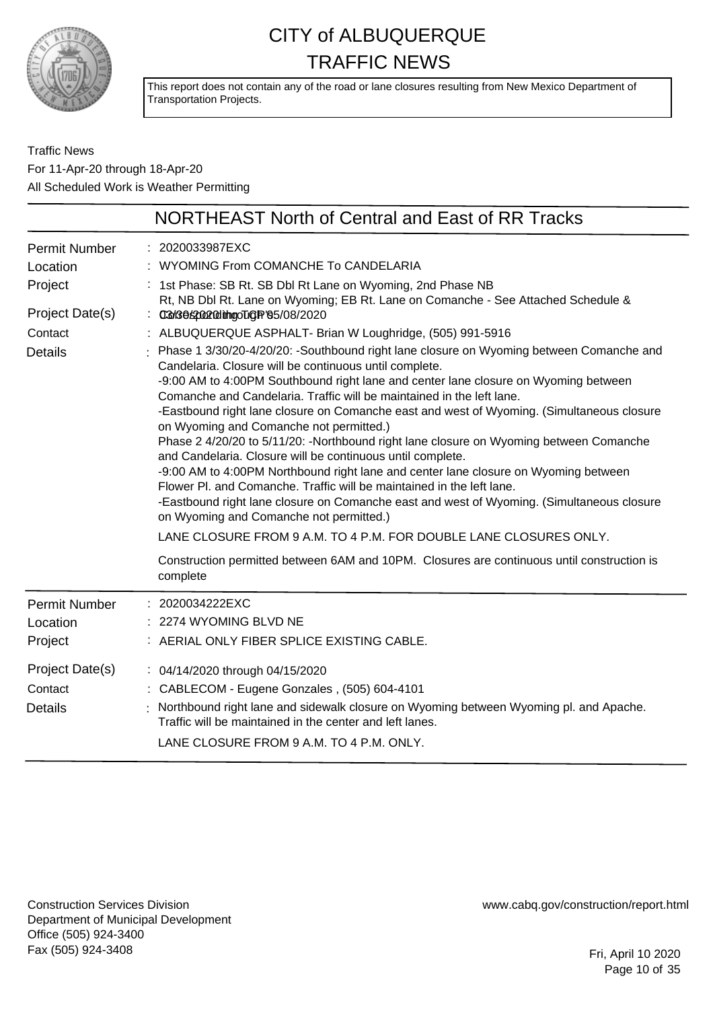

This report does not contain any of the road or lane closures resulting from New Mexico Department of Transportation Projects.

#### Traffic News For 11-Apr-20 through 18-Apr-20 All Scheduled Work is Weather Permitting

|                                                                                      | <b>NORTHEAST North of Central and East of RR Tracks</b>                                                                                                                                                                                                                                                                                                                                                                                                                                                                                                                                                                                                                                                                                                                                                                                                                                                                                                                                                                                                                                                                                                                                                                                                                                                            |
|--------------------------------------------------------------------------------------|--------------------------------------------------------------------------------------------------------------------------------------------------------------------------------------------------------------------------------------------------------------------------------------------------------------------------------------------------------------------------------------------------------------------------------------------------------------------------------------------------------------------------------------------------------------------------------------------------------------------------------------------------------------------------------------------------------------------------------------------------------------------------------------------------------------------------------------------------------------------------------------------------------------------------------------------------------------------------------------------------------------------------------------------------------------------------------------------------------------------------------------------------------------------------------------------------------------------------------------------------------------------------------------------------------------------|
| Permit Number<br>Location<br>Project<br>Project Date(s)<br>Contact<br><b>Details</b> | : 2020033987EXC<br>: WYOMING From COMANCHE To CANDELARIA<br>: 1st Phase: SB Rt. SB Dbl Rt Lane on Wyoming, 2nd Phase NB<br>Rt, NB Dbl Rt. Lane on Wyoming; EB Rt. Lane on Comanche - See Attached Schedule &<br>: 03x36s2002@lthgoTigR'65/08/2020<br>: ALBUQUERQUE ASPHALT- Brian W Loughridge, (505) 991-5916<br>: Phase 1 3/30/20-4/20/20: -Southbound right lane closure on Wyoming between Comanche and<br>Candelaria. Closure will be continuous until complete.<br>-9:00 AM to 4:00PM Southbound right lane and center lane closure on Wyoming between<br>Comanche and Candelaria. Traffic will be maintained in the left lane.<br>-Eastbound right lane closure on Comanche east and west of Wyoming. (Simultaneous closure<br>on Wyoming and Comanche not permitted.)<br>Phase 2 4/20/20 to 5/11/20: -Northbound right lane closure on Wyoming between Comanche<br>and Candelaria. Closure will be continuous until complete.<br>-9:00 AM to 4:00PM Northbound right lane and center lane closure on Wyoming between<br>Flower PI, and Comanche. Traffic will be maintained in the left lane.<br>-Eastbound right lane closure on Comanche east and west of Wyoming. (Simultaneous closure<br>on Wyoming and Comanche not permitted.)<br>LANE CLOSURE FROM 9 A.M. TO 4 P.M. FOR DOUBLE LANE CLOSURES ONLY. |
|                                                                                      | Construction permitted between 6AM and 10PM. Closures are continuous until construction is<br>complete                                                                                                                                                                                                                                                                                                                                                                                                                                                                                                                                                                                                                                                                                                                                                                                                                                                                                                                                                                                                                                                                                                                                                                                                             |
| Permit Number<br>Location<br>Project                                                 | : 2020034222EXC<br>2274 WYOMING BLVD NE<br>: AERIAL ONLY FIBER SPLICE EXISTING CABLE.                                                                                                                                                                                                                                                                                                                                                                                                                                                                                                                                                                                                                                                                                                                                                                                                                                                                                                                                                                                                                                                                                                                                                                                                                              |
| Project Date(s)<br>Contact<br><b>Details</b>                                         | : 04/14/2020 through 04/15/2020<br>: CABLECOM - Eugene Gonzales, (505) 604-4101<br>: Northbound right lane and sidewalk closure on Wyoming between Wyoming pl. and Apache.<br>Traffic will be maintained in the center and left lanes.<br>LANE CLOSURE FROM 9 A.M. TO 4 P.M. ONLY.                                                                                                                                                                                                                                                                                                                                                                                                                                                                                                                                                                                                                                                                                                                                                                                                                                                                                                                                                                                                                                 |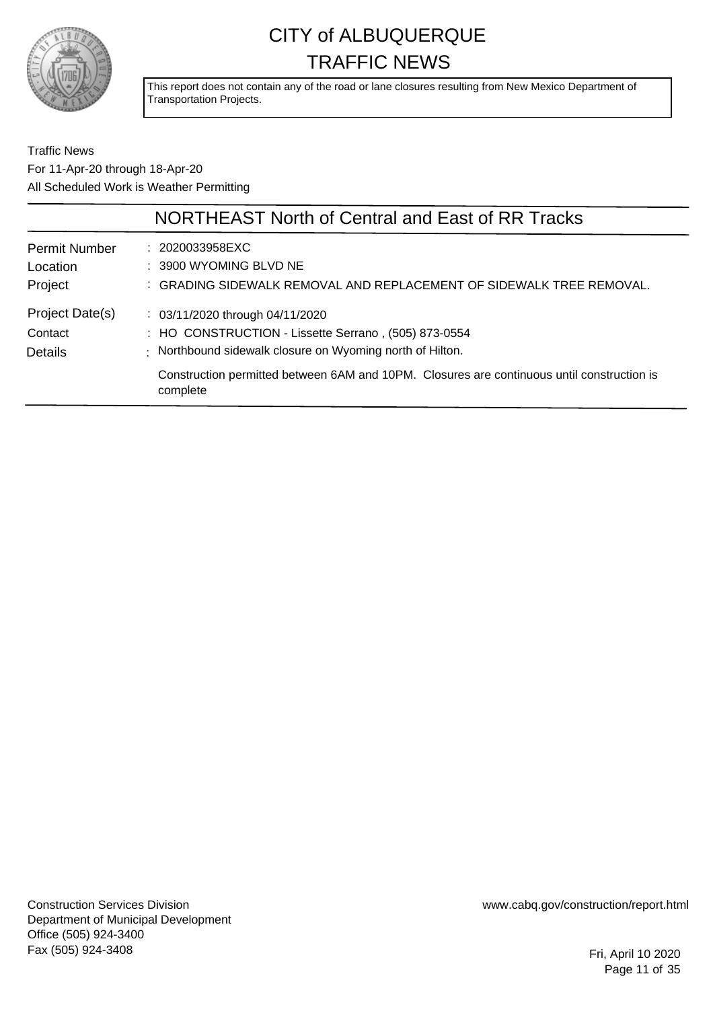

This report does not contain any of the road or lane closures resulting from New Mexico Department of Transportation Projects.

Traffic News For 11-Apr-20 through 18-Apr-20 All Scheduled Work is Weather Permitting

|                      | NORTHEAST North of Central and East of RR Tracks                                                       |
|----------------------|--------------------------------------------------------------------------------------------------------|
| <b>Permit Number</b> | : 2020033958EXC                                                                                        |
| Location             | : 3900 WYOMING BLVD NE                                                                                 |
| Project              | : GRADING SIDEWALK REMOVAL AND REPLACEMENT OF SIDEWALK TREE REMOVAL.                                   |
| Project Date(s)      | $\therefore$ 03/11/2020 through 04/11/2020                                                             |
| Contact              | : HO CONSTRUCTION - Lissette Serrano, (505) 873-0554                                                   |
| <b>Details</b>       | : Northbound sidewalk closure on Wyoming north of Hilton.                                              |
|                      | Construction permitted between 6AM and 10PM. Closures are continuous until construction is<br>complete |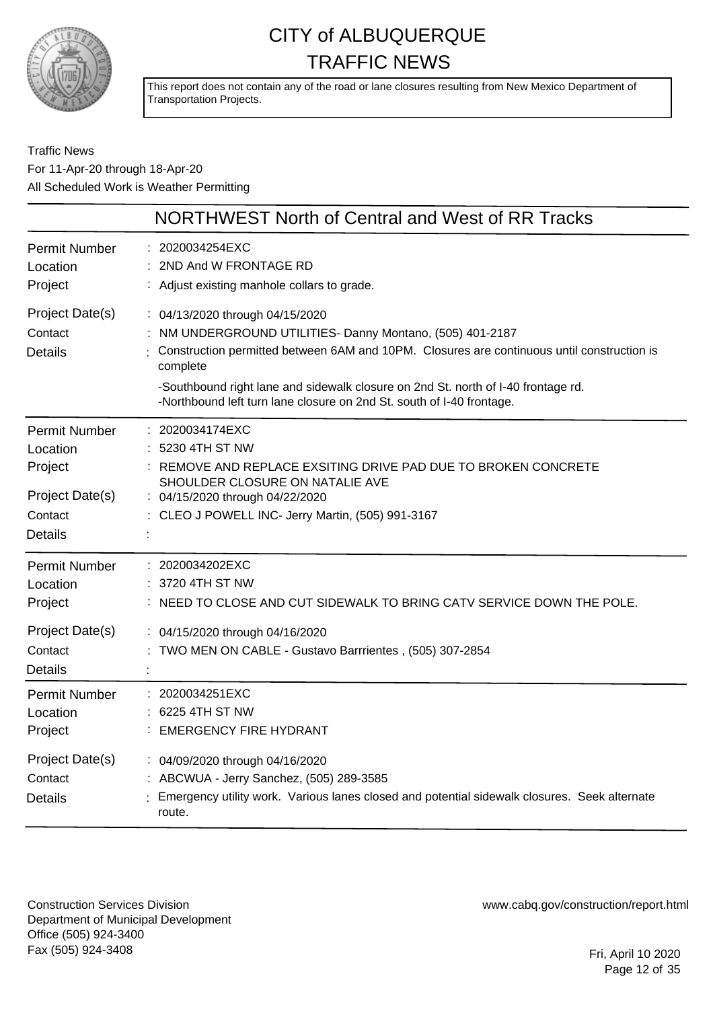

This report does not contain any of the road or lane closures resulting from New Mexico Department of Transportation Projects.

Traffic News For 11-Apr-20 through 18-Apr-20 All Scheduled Work is Weather Permitting

|                                              | NORTHWEST North of Central and West of RR Tracks                                                                                                                                                                                                                                                                                                                   |
|----------------------------------------------|--------------------------------------------------------------------------------------------------------------------------------------------------------------------------------------------------------------------------------------------------------------------------------------------------------------------------------------------------------------------|
| <b>Permit Number</b>                         | 2020034254EXC                                                                                                                                                                                                                                                                                                                                                      |
| Location                                     | 2ND And W FRONTAGE RD                                                                                                                                                                                                                                                                                                                                              |
| Project                                      | : Adjust existing manhole collars to grade.                                                                                                                                                                                                                                                                                                                        |
| Project Date(s)<br>Contact<br><b>Details</b> | : 04/13/2020 through 04/15/2020<br>NM UNDERGROUND UTILITIES- Danny Montano, (505) 401-2187<br>Construction permitted between 6AM and 10PM. Closures are continuous until construction is<br>complete<br>-Southbound right lane and sidewalk closure on 2nd St. north of I-40 frontage rd.<br>-Northbound left turn lane closure on 2nd St. south of I-40 frontage. |
| Permit Number                                | : 2020034174EXC                                                                                                                                                                                                                                                                                                                                                    |
| Location                                     | 5230 4TH ST NW                                                                                                                                                                                                                                                                                                                                                     |
| Project                                      | : REMOVE AND REPLACE EXSITING DRIVE PAD DUE TO BROKEN CONCRETE                                                                                                                                                                                                                                                                                                     |
| Project Date(s)                              | SHOULDER CLOSURE ON NATALIE AVE                                                                                                                                                                                                                                                                                                                                    |
| Contact                                      | : 04/15/2020 through 04/22/2020                                                                                                                                                                                                                                                                                                                                    |
| <b>Details</b>                               | : CLEO J POWELL INC- Jerry Martin, (505) 991-3167                                                                                                                                                                                                                                                                                                                  |
| <b>Permit Number</b>                         | : 2020034202EXC                                                                                                                                                                                                                                                                                                                                                    |
| Location                                     | : 3720 4TH ST NW                                                                                                                                                                                                                                                                                                                                                   |
| Project                                      | : NEED TO CLOSE AND CUT SIDEWALK TO BRING CATV SERVICE DOWN THE POLE.                                                                                                                                                                                                                                                                                              |
| Project Date(s)<br>Contact<br>Details        | : 04/15/2020 through 04/16/2020<br>TWO MEN ON CABLE - Gustavo Barrrientes, (505) 307-2854                                                                                                                                                                                                                                                                          |
| <b>Permit Number</b>                         | : 2020034251EXC                                                                                                                                                                                                                                                                                                                                                    |
| Location                                     | 6225 4TH ST NW                                                                                                                                                                                                                                                                                                                                                     |
| Project                                      | : EMERGENCY FIRE HYDRANT                                                                                                                                                                                                                                                                                                                                           |
| Project Date(s)<br>Contact<br><b>Details</b> | : 04/09/2020 through 04/16/2020<br>: ABCWUA - Jerry Sanchez, (505) 289-3585<br>Emergency utility work. Various lanes closed and potential sidewalk closures. Seek alternate<br>route.                                                                                                                                                                              |

Construction Services Division Department of Municipal Development Office (505) 924-3400 Fax (505) 924-3408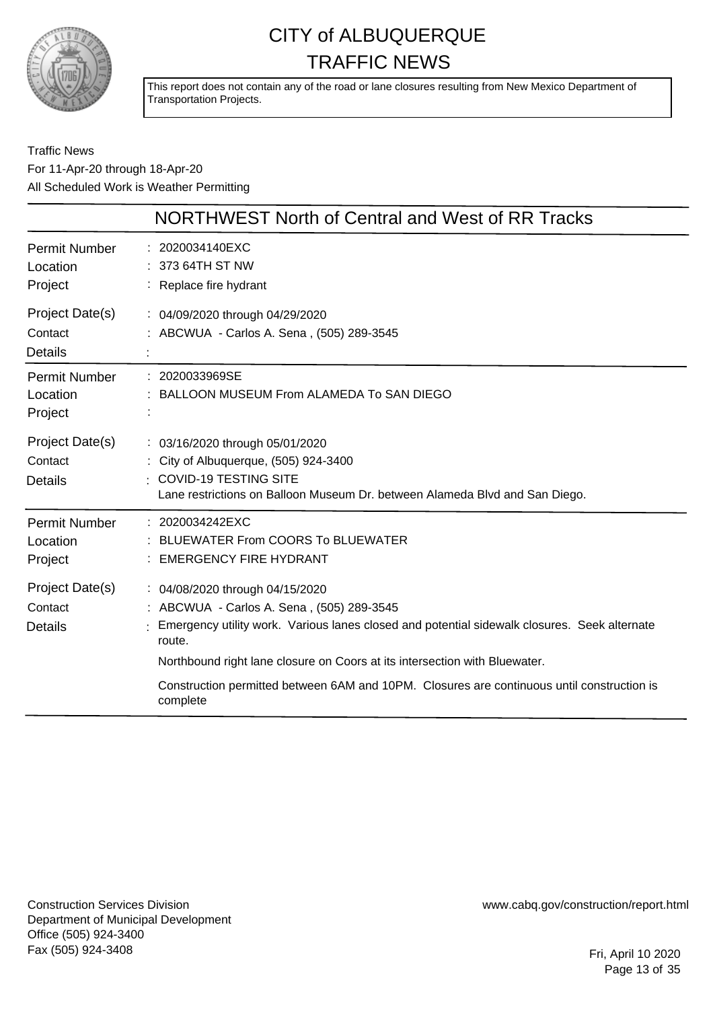

This report does not contain any of the road or lane closures resulting from New Mexico Department of Transportation Projects.

#### Traffic News For 11-Apr-20 through 18-Apr-20 All Scheduled Work is Weather Permitting

|                                              | NORTHWEST North of Central and West of RR Tracks                                                                                                                                                                                                                                                                                                                               |
|----------------------------------------------|--------------------------------------------------------------------------------------------------------------------------------------------------------------------------------------------------------------------------------------------------------------------------------------------------------------------------------------------------------------------------------|
| Permit Number<br>Location<br>Project         | : 2020034140EXC<br>: 373 64TH ST NW<br>: Replace fire hydrant                                                                                                                                                                                                                                                                                                                  |
| Project Date(s)<br>Contact<br><b>Details</b> | : 04/09/2020 through 04/29/2020<br>: ABCWUA - Carlos A. Sena, (505) 289-3545                                                                                                                                                                                                                                                                                                   |
| Permit Number<br>Location<br>Project         | : 2020033969SE<br>: BALLOON MUSEUM From ALAMEDA To SAN DIEGO                                                                                                                                                                                                                                                                                                                   |
| Project Date(s)<br>Contact<br><b>Details</b> | : 03/16/2020 through 05/01/2020<br>: City of Albuquerque, (505) 924-3400<br><b>COVID-19 TESTING SITE</b><br>Lane restrictions on Balloon Museum Dr. between Alameda Blvd and San Diego.                                                                                                                                                                                        |
| Permit Number<br>Location<br>Project         | : 2020034242EXC<br><b>BLUEWATER From COORS To BLUEWATER</b><br><b>EMERGENCY FIRE HYDRANT</b>                                                                                                                                                                                                                                                                                   |
| Project Date(s)<br>Contact<br><b>Details</b> | : 04/08/2020 through 04/15/2020<br>: ABCWUA - Carlos A. Sena, (505) 289-3545<br>Emergency utility work. Various lanes closed and potential sidewalk closures. Seek alternate<br>route.<br>Northbound right lane closure on Coors at its intersection with Bluewater.<br>Construction permitted between 6AM and 10PM. Closures are continuous until construction is<br>complete |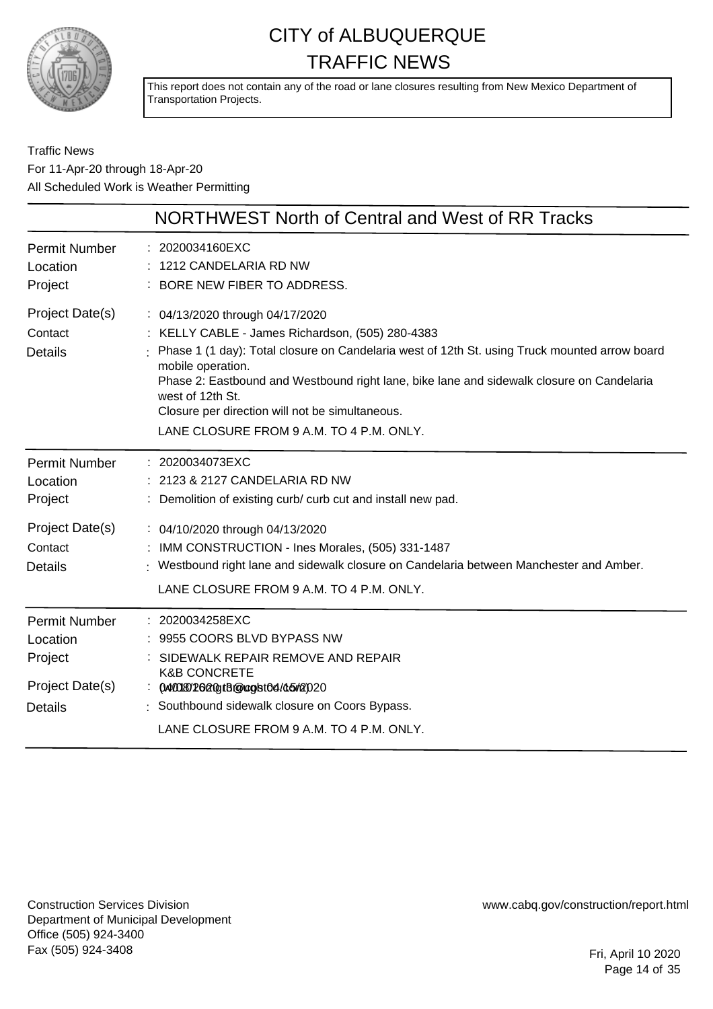

This report does not contain any of the road or lane closures resulting from New Mexico Department of Transportation Projects.

Traffic News For 11-Apr-20 through 18-Apr-20 All Scheduled Work is Weather Permitting

|                                                                                  | NORTHWEST North of Central and West of RR Tracks                                                                                                                                                                                                                                                                                                                                                                            |
|----------------------------------------------------------------------------------|-----------------------------------------------------------------------------------------------------------------------------------------------------------------------------------------------------------------------------------------------------------------------------------------------------------------------------------------------------------------------------------------------------------------------------|
| <b>Permit Number</b><br>Location<br>Project                                      | : 2020034160EXC<br>: 1212 CANDELARIA RD NW<br>: BORE NEW FIBER TO ADDRESS.                                                                                                                                                                                                                                                                                                                                                  |
| Project Date(s)<br>Contact<br><b>Details</b>                                     | : 04/13/2020 through 04/17/2020<br>: KELLY CABLE - James Richardson, (505) 280-4383<br>: Phase 1 (1 day): Total closure on Candelaria west of 12th St. using Truck mounted arrow board<br>mobile operation.<br>Phase 2: Eastbound and Westbound right lane, bike lane and sidewalk closure on Candelaria<br>west of 12th St.<br>Closure per direction will not be simultaneous.<br>LANE CLOSURE FROM 9 A.M. TO 4 P.M. ONLY. |
| <b>Permit Number</b><br>Location<br>Project                                      | : 2020034073EXC<br>: 2123 & 2127 CANDELARIA RD NW<br>: Demolition of existing curb/ curb cut and install new pad.                                                                                                                                                                                                                                                                                                           |
| Project Date(s)<br>Contact<br><b>Details</b>                                     | : 04/10/2020 through 04/13/2020<br>: IMM CONSTRUCTION - Ines Morales, (505) 331-1487<br>: Westbound right lane and sidewalk closure on Candelaria between Manchester and Amber.<br>LANE CLOSURE FROM 9 A.M. TO 4 P.M. ONLY.                                                                                                                                                                                                 |
| <b>Permit Number</b><br>Location<br>Project<br>Project Date(s)<br><b>Details</b> | : 2020034258EXC<br>: 9955 COORS BLVD BYPASS NW<br>: SIDEWALK REPAIR REMOVE AND REPAIR<br><b>K&amp;B CONCRETE</b><br>: 04001802020gtB@ccgbt04/45r2020<br>: Southbound sidewalk closure on Coors Bypass.<br>LANE CLOSURE FROM 9 A.M. TO 4 P.M. ONLY.                                                                                                                                                                          |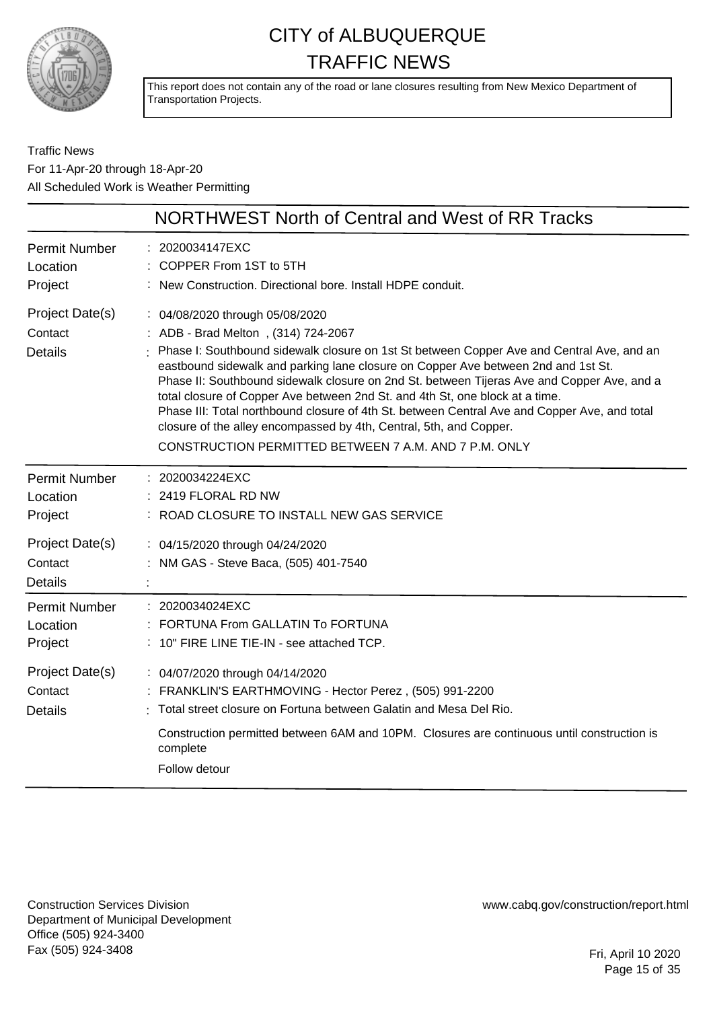

This report does not contain any of the road or lane closures resulting from New Mexico Department of Transportation Projects.

Traffic News For 11-Apr-20 through 18-Apr-20 All Scheduled Work is Weather Permitting

| NORTHWEST North of Central and West of RR Tracks                                                                                                                                                                                                                                                                                                                                                                                                                                                                                                                                                                                                                      |
|-----------------------------------------------------------------------------------------------------------------------------------------------------------------------------------------------------------------------------------------------------------------------------------------------------------------------------------------------------------------------------------------------------------------------------------------------------------------------------------------------------------------------------------------------------------------------------------------------------------------------------------------------------------------------|
| : 2020034147EXC<br>: COPPER From 1ST to 5TH<br>: New Construction. Directional bore. Install HDPE conduit.                                                                                                                                                                                                                                                                                                                                                                                                                                                                                                                                                            |
| : 04/08/2020 through 05/08/2020<br>: ADB - Brad Melton, (314) 724-2067<br>Phase I: Southbound sidewalk closure on 1st St between Copper Ave and Central Ave, and an<br>eastbound sidewalk and parking lane closure on Copper Ave between 2nd and 1st St.<br>Phase II: Southbound sidewalk closure on 2nd St. between Tijeras Ave and Copper Ave, and a<br>total closure of Copper Ave between 2nd St. and 4th St, one block at a time.<br>Phase III: Total northbound closure of 4th St. between Central Ave and Copper Ave, and total<br>closure of the alley encompassed by 4th, Central, 5th, and Copper.<br>CONSTRUCTION PERMITTED BETWEEN 7 A.M. AND 7 P.M. ONLY |
| : 2020034224EXC<br>: 2419 FLORAL RD NW<br>: ROAD CLOSURE TO INSTALL NEW GAS SERVICE                                                                                                                                                                                                                                                                                                                                                                                                                                                                                                                                                                                   |
| : 04/15/2020 through 04/24/2020<br>: NM GAS - Steve Baca, (505) 401-7540                                                                                                                                                                                                                                                                                                                                                                                                                                                                                                                                                                                              |
| : 2020034024EXC<br>FORTUNA From GALLATIN To FORTUNA<br>: 10" FIRE LINE TIE-IN - see attached TCP.                                                                                                                                                                                                                                                                                                                                                                                                                                                                                                                                                                     |
| : 04/07/2020 through 04/14/2020<br>: FRANKLIN'S EARTHMOVING - Hector Perez, (505) 991-2200<br>: Total street closure on Fortuna between Galatin and Mesa Del Rio.<br>Construction permitted between 6AM and 10PM. Closures are continuous until construction is<br>complete<br>Follow detour                                                                                                                                                                                                                                                                                                                                                                          |
|                                                                                                                                                                                                                                                                                                                                                                                                                                                                                                                                                                                                                                                                       |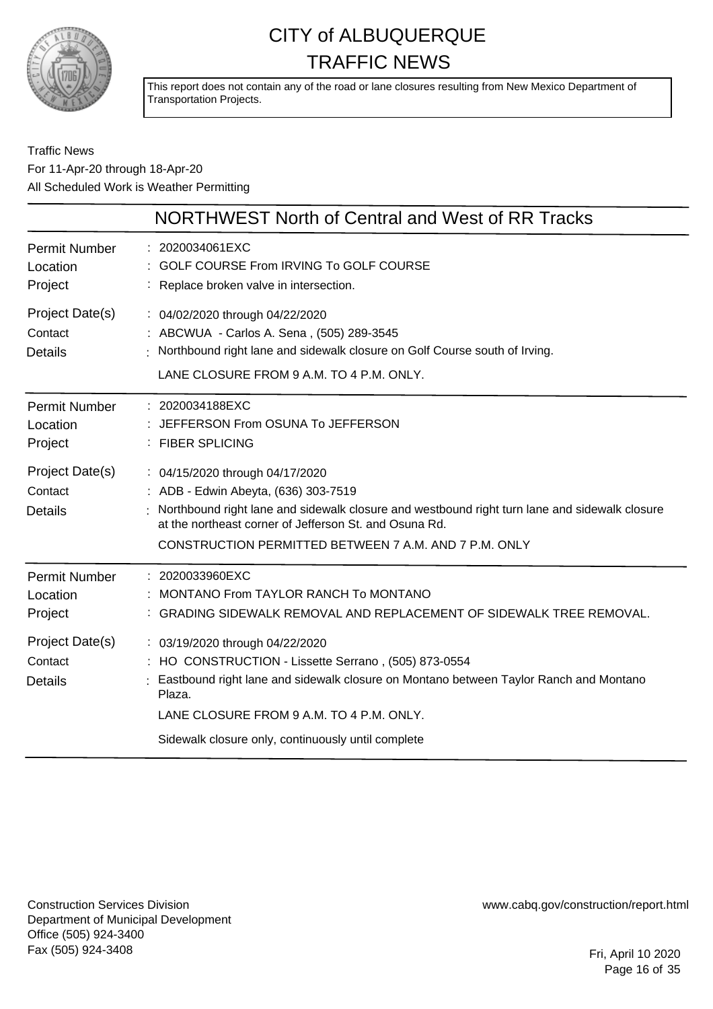

This report does not contain any of the road or lane closures resulting from New Mexico Department of Transportation Projects.

#### Traffic News For 11-Apr-20 through 18-Apr-20 All Scheduled Work is Weather Permitting

|                                              | NORTHWEST North of Central and West of RR Tracks                                                                                                                                                                                                                                            |
|----------------------------------------------|---------------------------------------------------------------------------------------------------------------------------------------------------------------------------------------------------------------------------------------------------------------------------------------------|
| <b>Permit Number</b><br>Location<br>Project  | : 2020034061EXC<br><b>GOLF COURSE From IRVING To GOLF COURSE</b><br>: Replace broken valve in intersection.                                                                                                                                                                                 |
| Project Date(s)<br>Contact<br><b>Details</b> | : 04/02/2020 through 04/22/2020<br>: ABCWUA - Carlos A. Sena, (505) 289-3545<br>Northbound right lane and sidewalk closure on Golf Course south of Irving.<br>LANE CLOSURE FROM 9 A.M. TO 4 P.M. ONLY.                                                                                      |
| <b>Permit Number</b><br>Location<br>Project  | : 2020034188EXC<br>JEFFERSON From OSUNA To JEFFERSON<br>: FIBER SPLICING                                                                                                                                                                                                                    |
| Project Date(s)<br>Contact<br><b>Details</b> | : 04/15/2020 through 04/17/2020<br>: ADB - Edwin Abeyta, (636) 303-7519<br>Northbound right lane and sidewalk closure and westbound right turn lane and sidewalk closure<br>at the northeast corner of Jefferson St. and Osuna Rd.<br>CONSTRUCTION PERMITTED BETWEEN 7 A.M. AND 7 P.M. ONLY |
| <b>Permit Number</b><br>Location<br>Project  | : 2020033960EXC<br>MONTANO From TAYLOR RANCH To MONTANO<br>: GRADING SIDEWALK REMOVAL AND REPLACEMENT OF SIDEWALK TREE REMOVAL.                                                                                                                                                             |
| Project Date(s)<br>Contact<br><b>Details</b> | : 03/19/2020 through 04/22/2020<br>HO CONSTRUCTION - Lissette Serrano, (505) 873-0554<br>Eastbound right lane and sidewalk closure on Montano between Taylor Ranch and Montano<br>Plaza.<br>LANE CLOSURE FROM 9 A.M. TO 4 P.M. ONLY.<br>Sidewalk closure only, continuously until complete  |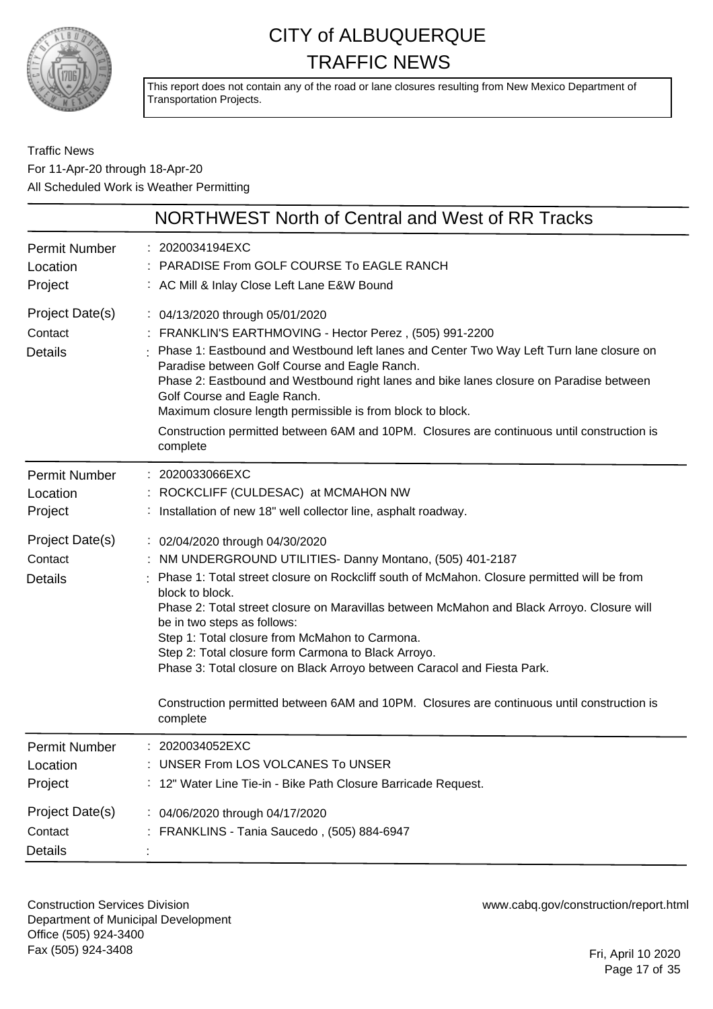

This report does not contain any of the road or lane closures resulting from New Mexico Department of Transportation Projects.

#### Traffic News For 11-Apr-20 through 18-Apr-20 All Scheduled Work is Weather Permitting

|                                              | NORTHWEST North of Central and West of RR Tracks                                                                                                                                                                                                                                                                                                                                                                                                                                                                                                                                                                                            |
|----------------------------------------------|---------------------------------------------------------------------------------------------------------------------------------------------------------------------------------------------------------------------------------------------------------------------------------------------------------------------------------------------------------------------------------------------------------------------------------------------------------------------------------------------------------------------------------------------------------------------------------------------------------------------------------------------|
| <b>Permit Number</b><br>Location<br>Project  | : 2020034194EXC<br>PARADISE From GOLF COURSE To EAGLE RANCH<br>: AC Mill & Inlay Close Left Lane E&W Bound                                                                                                                                                                                                                                                                                                                                                                                                                                                                                                                                  |
| Project Date(s)<br>Contact<br><b>Details</b> | : 04/13/2020 through 05/01/2020<br>: FRANKLIN'S EARTHMOVING - Hector Perez, (505) 991-2200<br>Phase 1: Eastbound and Westbound left lanes and Center Two Way Left Turn lane closure on<br>Paradise between Golf Course and Eagle Ranch.<br>Phase 2: Eastbound and Westbound right lanes and bike lanes closure on Paradise between<br>Golf Course and Eagle Ranch.<br>Maximum closure length permissible is from block to block.<br>Construction permitted between 6AM and 10PM. Closures are continuous until construction is<br>complete                                                                                                  |
| <b>Permit Number</b><br>Location<br>Project  | : 2020033066EXC<br>: ROCKCLIFF (CULDESAC) at MCMAHON NW<br>: Installation of new 18" well collector line, asphalt roadway.                                                                                                                                                                                                                                                                                                                                                                                                                                                                                                                  |
| Project Date(s)<br>Contact<br><b>Details</b> | : 02/04/2020 through 04/30/2020<br>: NM UNDERGROUND UTILITIES- Danny Montano, (505) 401-2187<br>: Phase 1: Total street closure on Rockcliff south of McMahon. Closure permitted will be from<br>block to block.<br>Phase 2: Total street closure on Maravillas between McMahon and Black Arroyo. Closure will<br>be in two steps as follows:<br>Step 1: Total closure from McMahon to Carmona.<br>Step 2: Total closure form Carmona to Black Arroyo.<br>Phase 3: Total closure on Black Arroyo between Caracol and Fiesta Park.<br>Construction permitted between 6AM and 10PM. Closures are continuous until construction is<br>complete |
| Permit Number<br>Location<br>Project         | : 2020034052EXC<br>: UNSER From LOS VOLCANES To UNSER<br>: 12" Water Line Tie-in - Bike Path Closure Barricade Request.                                                                                                                                                                                                                                                                                                                                                                                                                                                                                                                     |
| Project Date(s)<br>Contact<br><b>Details</b> | : 04/06/2020 through 04/17/2020<br>: FRANKLINS - Tania Saucedo, (505) 884-6947                                                                                                                                                                                                                                                                                                                                                                                                                                                                                                                                                              |

Construction Services Division Department of Municipal Development Office (505) 924-3400 Fax (505) 924-3408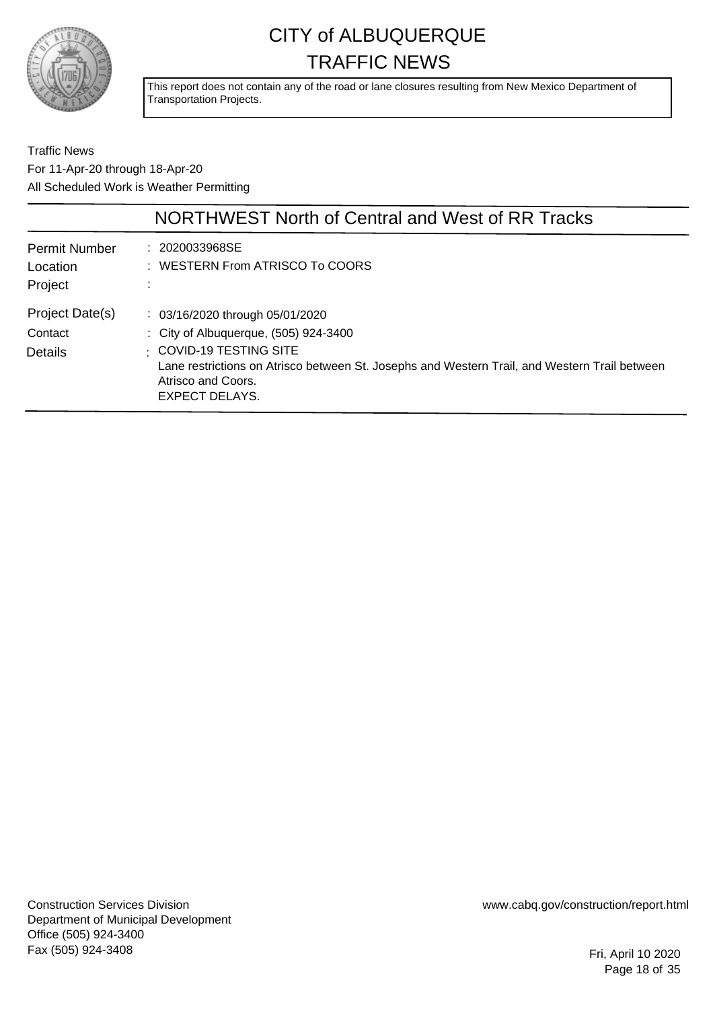

This report does not contain any of the road or lane closures resulting from New Mexico Department of Transportation Projects.

Traffic News For 11-Apr-20 through 18-Apr-20 All Scheduled Work is Weather Permitting

|                                             | NORTHWEST North of Central and West of RR Tracks                                                                                                                                                                                                            |
|---------------------------------------------|-------------------------------------------------------------------------------------------------------------------------------------------------------------------------------------------------------------------------------------------------------------|
| <b>Permit Number</b><br>Location<br>Project | : 2020033968SE<br>: WESTERN From ATRISCO To COORS                                                                                                                                                                                                           |
| Project Date(s)<br>Contact<br>Details       | $\therefore$ 03/16/2020 through 05/01/2020<br>: City of Albuquerque, (505) 924-3400<br>$\pm$ COVID-19 TESTING SITE<br>Lane restrictions on Atrisco between St. Josephs and Western Trail, and Western Trail between<br>Atrisco and Coors.<br>EXPECT DELAYS. |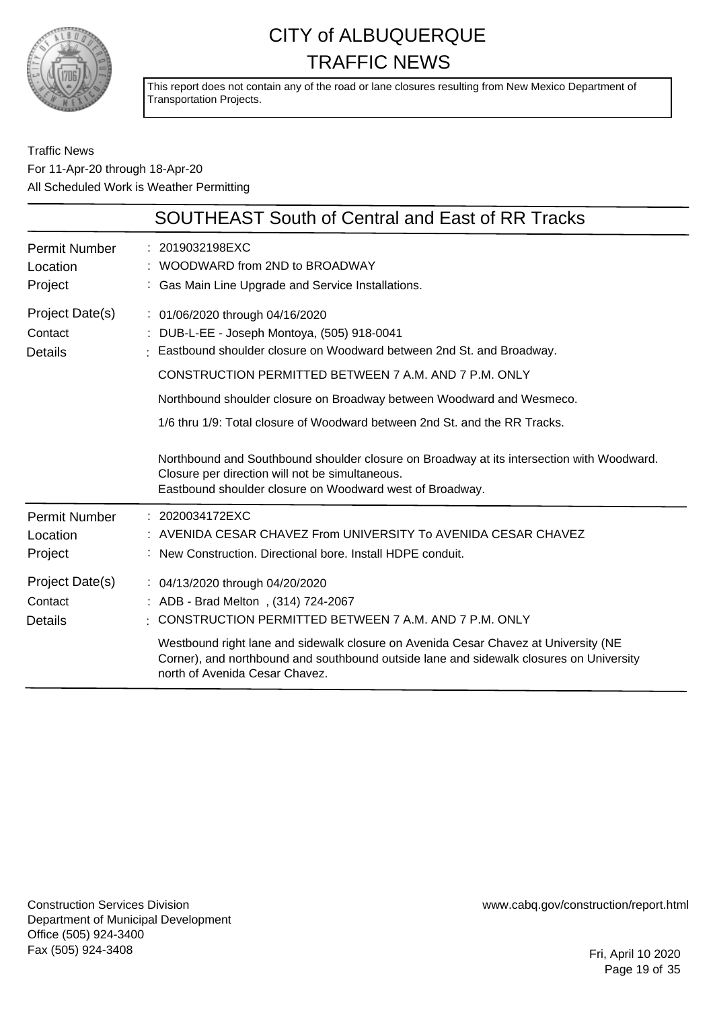

This report does not contain any of the road or lane closures resulting from New Mexico Department of Transportation Projects.

#### Traffic News For 11-Apr-20 through 18-Apr-20 All Scheduled Work is Weather Permitting

|                                              | SOUTHEAST South of Central and East of RR Tracks                                                                                                                                                                                                                                                                                                                                                                                                                                                                                                                                   |
|----------------------------------------------|------------------------------------------------------------------------------------------------------------------------------------------------------------------------------------------------------------------------------------------------------------------------------------------------------------------------------------------------------------------------------------------------------------------------------------------------------------------------------------------------------------------------------------------------------------------------------------|
| <b>Permit Number</b><br>Location<br>Project  | : 2019032198EXC<br>$:$ WOODWARD from 2ND to BROADWAY<br>: Gas Main Line Upgrade and Service Installations.                                                                                                                                                                                                                                                                                                                                                                                                                                                                         |
| Project Date(s)<br>Contact<br><b>Details</b> | : 01/06/2020 through 04/16/2020<br>: DUB-L-EE - Joseph Montoya, (505) 918-0041<br>Eastbound shoulder closure on Woodward between 2nd St. and Broadway.<br>CONSTRUCTION PERMITTED BETWEEN 7 A.M. AND 7 P.M. ONLY<br>Northbound shoulder closure on Broadway between Woodward and Wesmeco.<br>1/6 thru 1/9: Total closure of Woodward between 2nd St. and the RR Tracks.<br>Northbound and Southbound shoulder closure on Broadway at its intersection with Woodward.<br>Closure per direction will not be simultaneous.<br>Eastbound shoulder closure on Woodward west of Broadway. |
| Permit Number<br>Location<br>Project         | : 2020034172EXC<br>: AVENIDA CESAR CHAVEZ From UNIVERSITY To AVENIDA CESAR CHAVEZ<br>: New Construction. Directional bore. Install HDPE conduit.                                                                                                                                                                                                                                                                                                                                                                                                                                   |
| Project Date(s)<br>Contact<br>Details        | : 04/13/2020 through 04/20/2020<br>: ADB - Brad Melton, (314) 724-2067<br>CONSTRUCTION PERMITTED BETWEEN 7 A.M. AND 7 P.M. ONLY<br>Westbound right lane and sidewalk closure on Avenida Cesar Chavez at University (NE<br>Corner), and northbound and southbound outside lane and sidewalk closures on University<br>north of Avenida Cesar Chavez.                                                                                                                                                                                                                                |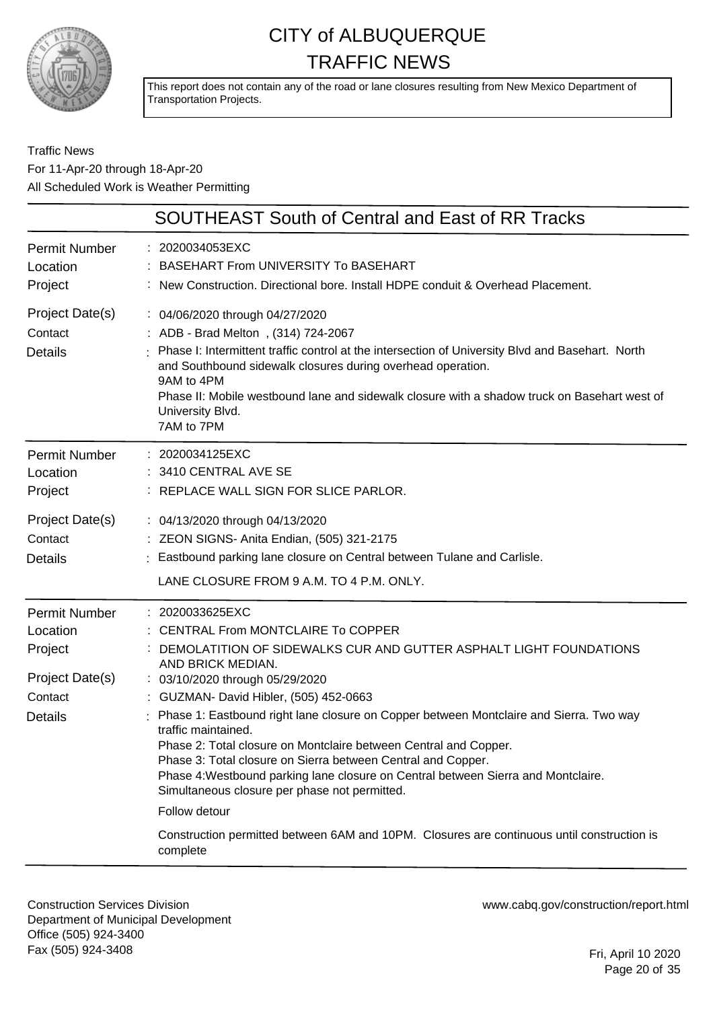

This report does not contain any of the road or lane closures resulting from New Mexico Department of Transportation Projects.

#### Traffic News For 11-Apr-20 through 18-Apr-20 All Scheduled Work is Weather Permitting

|                                                                                             | <b>SOUTHEAST South of Central and East of RR Tracks</b>                                                                                                                                                                                                                                                                                                                                                                                                                                                                                                                                                                                                                                                                                              |
|---------------------------------------------------------------------------------------------|------------------------------------------------------------------------------------------------------------------------------------------------------------------------------------------------------------------------------------------------------------------------------------------------------------------------------------------------------------------------------------------------------------------------------------------------------------------------------------------------------------------------------------------------------------------------------------------------------------------------------------------------------------------------------------------------------------------------------------------------------|
| <b>Permit Number</b><br>Location<br>Project                                                 | : 2020034053EXC<br><b>BASEHART From UNIVERSITY To BASEHART</b><br>: New Construction. Directional bore. Install HDPE conduit & Overhead Placement.                                                                                                                                                                                                                                                                                                                                                                                                                                                                                                                                                                                                   |
| Project Date(s)<br>Contact<br><b>Details</b>                                                | : 04/06/2020 through 04/27/2020<br>: ADB - Brad Melton, (314) 724-2067<br>Phase I: Intermittent traffic control at the intersection of University Blvd and Basehart. North<br>and Southbound sidewalk closures during overhead operation.<br>9AM to 4PM<br>Phase II: Mobile westbound lane and sidewalk closure with a shadow truck on Basehart west of<br>University Blvd.<br>7AM to 7PM                                                                                                                                                                                                                                                                                                                                                            |
| <b>Permit Number</b><br>Location<br>Project                                                 | : 2020034125EXC<br>3410 CENTRAL AVE SE<br>: REPLACE WALL SIGN FOR SLICE PARLOR.                                                                                                                                                                                                                                                                                                                                                                                                                                                                                                                                                                                                                                                                      |
| Project Date(s)<br>Contact<br><b>Details</b>                                                | : 04/13/2020 through 04/13/2020<br>: ZEON SIGNS- Anita Endian, (505) 321-2175<br>Eastbound parking lane closure on Central between Tulane and Carlisle.<br>LANE CLOSURE FROM 9 A.M. TO 4 P.M. ONLY.                                                                                                                                                                                                                                                                                                                                                                                                                                                                                                                                                  |
| <b>Permit Number</b><br>Location<br>Project<br>Project Date(s)<br>Contact<br><b>Details</b> | : 2020033625EXC<br>: CENTRAL From MONTCLAIRE To COPPER<br>DEMOLATITION OF SIDEWALKS CUR AND GUTTER ASPHALT LIGHT FOUNDATIONS<br>AND BRICK MEDIAN.<br>: 03/10/2020 through 05/29/2020<br>: GUZMAN- David Hibler, (505) 452-0663<br>Phase 1: Eastbound right lane closure on Copper between Montclaire and Sierra. Two way<br>traffic maintained.<br>Phase 2: Total closure on Montclaire between Central and Copper.<br>Phase 3: Total closure on Sierra between Central and Copper.<br>Phase 4: Westbound parking lane closure on Central between Sierra and Montclaire.<br>Simultaneous closure per phase not permitted.<br>Follow detour<br>Construction permitted between 6AM and 10PM. Closures are continuous until construction is<br>complete |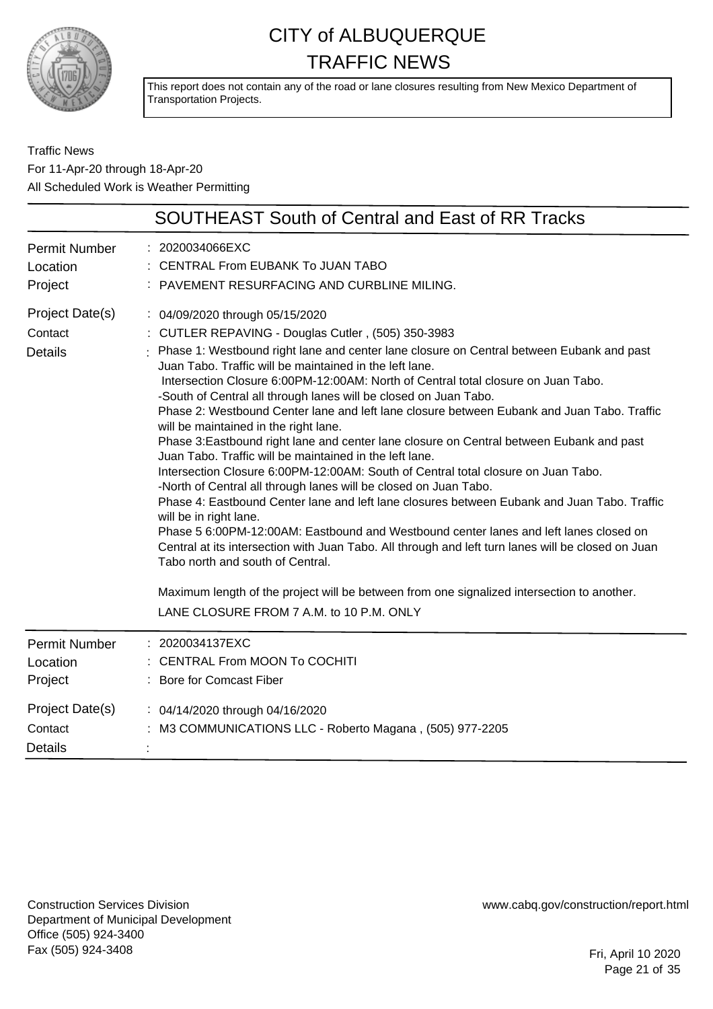

This report does not contain any of the road or lane closures resulting from New Mexico Department of Transportation Projects.

Traffic News For 11-Apr-20 through 18-Apr-20 All Scheduled Work is Weather Permitting

|                                              | <b>SOUTHEAST South of Central and East of RR Tracks</b>                                                                                                                                                                                                                                                                                                                                                                                                                                                                                                                                                                                                                                                                                                                                                                                                                                                                                                                                                                                                                                                                                                                                                                                                                                                                                                              |
|----------------------------------------------|----------------------------------------------------------------------------------------------------------------------------------------------------------------------------------------------------------------------------------------------------------------------------------------------------------------------------------------------------------------------------------------------------------------------------------------------------------------------------------------------------------------------------------------------------------------------------------------------------------------------------------------------------------------------------------------------------------------------------------------------------------------------------------------------------------------------------------------------------------------------------------------------------------------------------------------------------------------------------------------------------------------------------------------------------------------------------------------------------------------------------------------------------------------------------------------------------------------------------------------------------------------------------------------------------------------------------------------------------------------------|
| Permit Number<br>Location<br>Project         | : 2020034066EXC<br>: CENTRAL From EUBANK To JUAN TABO<br>: PAVEMENT RESURFACING AND CURBLINE MILING.                                                                                                                                                                                                                                                                                                                                                                                                                                                                                                                                                                                                                                                                                                                                                                                                                                                                                                                                                                                                                                                                                                                                                                                                                                                                 |
| Project Date(s)<br>Contact<br><b>Details</b> | : 04/09/2020 through 05/15/2020<br>: CUTLER REPAVING - Douglas Cutler, (505) 350-3983<br>: Phase 1: Westbound right lane and center lane closure on Central between Eubank and past<br>Juan Tabo. Traffic will be maintained in the left lane.<br>Intersection Closure 6:00PM-12:00AM: North of Central total closure on Juan Tabo.<br>-South of Central all through lanes will be closed on Juan Tabo.<br>Phase 2: Westbound Center lane and left lane closure between Eubank and Juan Tabo. Traffic<br>will be maintained in the right lane.<br>Phase 3: Eastbound right lane and center lane closure on Central between Eubank and past<br>Juan Tabo. Traffic will be maintained in the left lane.<br>Intersection Closure 6:00PM-12:00AM: South of Central total closure on Juan Tabo.<br>-North of Central all through lanes will be closed on Juan Tabo.<br>Phase 4: Eastbound Center lane and left lane closures between Eubank and Juan Tabo. Traffic<br>will be in right lane.<br>Phase 5 6:00PM-12:00AM: Eastbound and Westbound center lanes and left lanes closed on<br>Central at its intersection with Juan Tabo. All through and left turn lanes will be closed on Juan<br>Tabo north and south of Central.<br>Maximum length of the project will be between from one signalized intersection to another.<br>LANE CLOSURE FROM 7 A.M. to 10 P.M. ONLY |
| Permit Number<br>Location<br>Project         | : 2020034137EXC<br>: CENTRAL From MOON To COCHITI<br>: Bore for Comcast Fiber                                                                                                                                                                                                                                                                                                                                                                                                                                                                                                                                                                                                                                                                                                                                                                                                                                                                                                                                                                                                                                                                                                                                                                                                                                                                                        |
| Project Date(s)<br>Contact<br><b>Details</b> | : 04/14/2020 through 04/16/2020<br>: M3 COMMUNICATIONS LLC - Roberto Magana, (505) 977-2205                                                                                                                                                                                                                                                                                                                                                                                                                                                                                                                                                                                                                                                                                                                                                                                                                                                                                                                                                                                                                                                                                                                                                                                                                                                                          |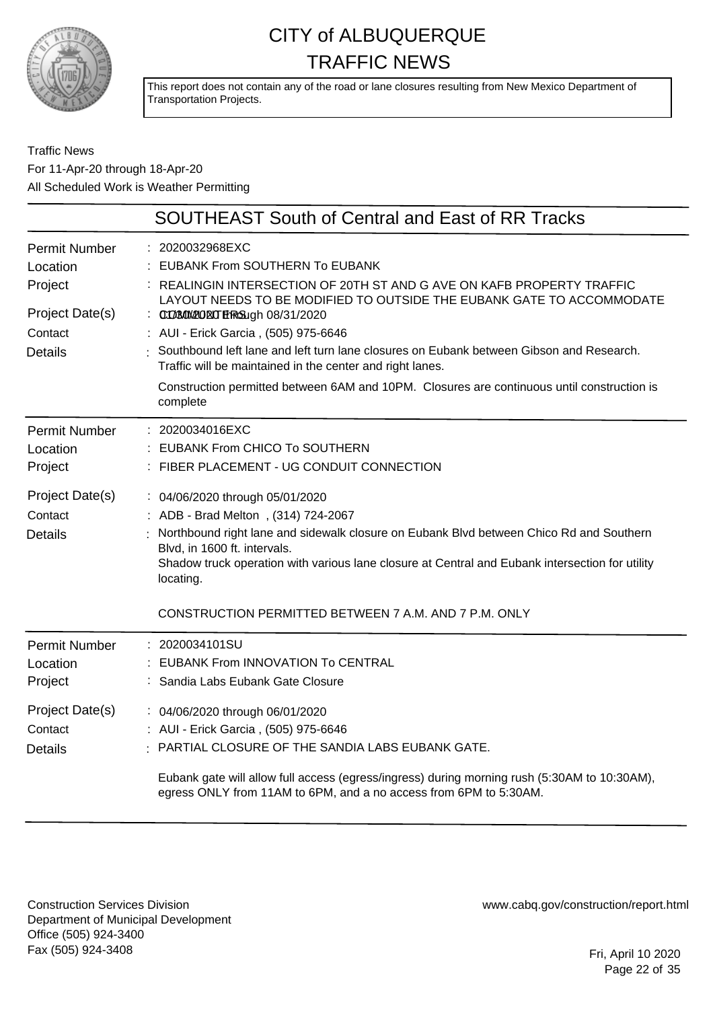

This report does not contain any of the road or lane closures resulting from New Mexico Department of Transportation Projects.

#### Traffic News For 11-Apr-20 through 18-Apr-20 All Scheduled Work is Weather Permitting

|                                                                                             | <b>SOUTHEAST South of Central and East of RR Tracks</b>                                                                                                                                                                                                                                                                                                                                                                                                                                                                                                       |
|---------------------------------------------------------------------------------------------|---------------------------------------------------------------------------------------------------------------------------------------------------------------------------------------------------------------------------------------------------------------------------------------------------------------------------------------------------------------------------------------------------------------------------------------------------------------------------------------------------------------------------------------------------------------|
| <b>Permit Number</b><br>Location<br>Project<br>Project Date(s)<br>Contact<br><b>Details</b> | : 2020032968EXC<br><b>EUBANK From SOUTHERN To EUBANK</b><br>: REALINGIN INTERSECTION OF 20TH ST AND G AVE ON KAFB PROPERTY TRAFFIC<br>LAYOUT NEEDS TO BE MODIFIED TO OUTSIDE THE EUBANK GATE TO ACCOMMODATE<br>: 0008000200EUTEFRG3ugh 08/31/2020<br>: AUI - Erick Garcia, (505) 975-6646<br>: Southbound left lane and left turn lane closures on Eubank between Gibson and Research.<br>Traffic will be maintained in the center and right lanes.<br>Construction permitted between 6AM and 10PM. Closures are continuous until construction is<br>complete |
| <b>Permit Number</b><br>Location<br>Project                                                 | : 2020034016EXC<br>: EUBANK From CHICO To SOUTHERN<br>: FIBER PLACEMENT - UG CONDUIT CONNECTION                                                                                                                                                                                                                                                                                                                                                                                                                                                               |
| Project Date(s)<br>Contact<br><b>Details</b>                                                | : 04/06/2020 through 05/01/2020<br>: ADB - Brad Melton, (314) 724-2067<br>Northbound right lane and sidewalk closure on Eubank Blvd between Chico Rd and Southern<br>Blvd, in 1600 ft. intervals.<br>Shadow truck operation with various lane closure at Central and Eubank intersection for utility<br>locating.                                                                                                                                                                                                                                             |
|                                                                                             | CONSTRUCTION PERMITTED BETWEEN 7 A.M. AND 7 P.M. ONLY<br>: 2020034101SU                                                                                                                                                                                                                                                                                                                                                                                                                                                                                       |
| <b>Permit Number</b><br>Location<br>Project                                                 | : EUBANK From INNOVATION To CENTRAL<br>Sandia Labs Eubank Gate Closure                                                                                                                                                                                                                                                                                                                                                                                                                                                                                        |
| Project Date(s)<br>Contact<br><b>Details</b>                                                | : 04/06/2020 through 06/01/2020<br>: AUI - Erick Garcia, (505) 975-6646<br>PARTIAL CLOSURE OF THE SANDIA LABS EUBANK GATE.<br>Eubank gate will allow full access (egress/ingress) during morning rush (5:30AM to 10:30AM),<br>egress ONLY from 11AM to 6PM, and a no access from 6PM to 5:30AM.                                                                                                                                                                                                                                                               |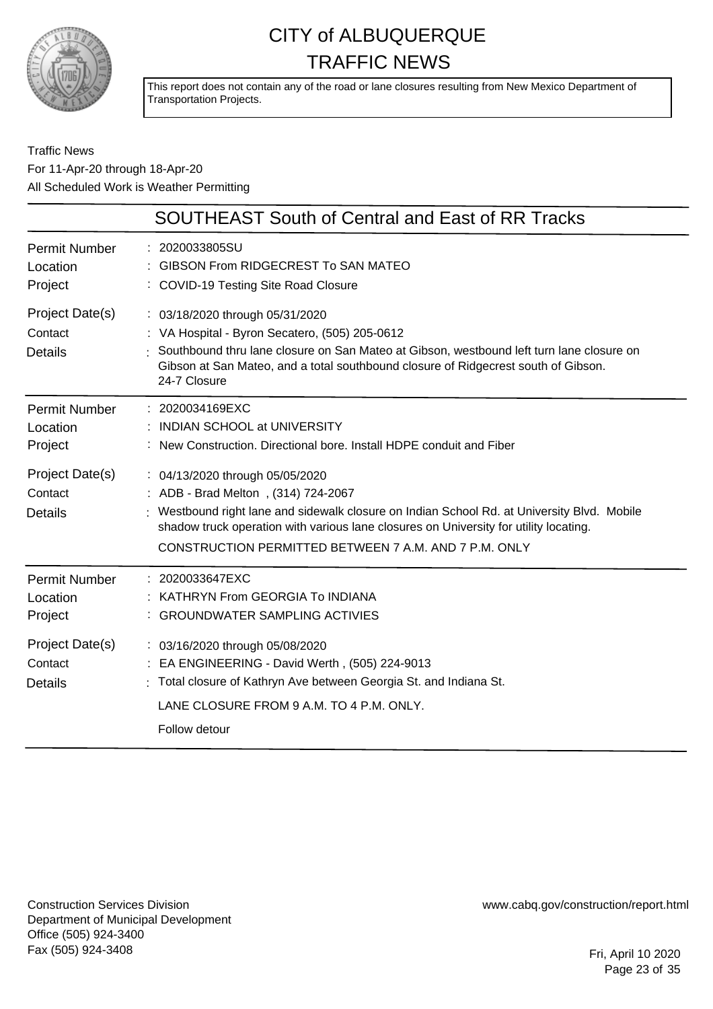

This report does not contain any of the road or lane closures resulting from New Mexico Department of Transportation Projects.

#### Traffic News For 11-Apr-20 through 18-Apr-20 All Scheduled Work is Weather Permitting

|                                              | <b>SOUTHEAST South of Central and East of RR Tracks</b>                                                                                                                                                                                                                                                                 |
|----------------------------------------------|-------------------------------------------------------------------------------------------------------------------------------------------------------------------------------------------------------------------------------------------------------------------------------------------------------------------------|
| <b>Permit Number</b><br>Location<br>Project  | : 2020033805SU<br>GIBSON From RIDGECREST To SAN MATEO<br>: COVID-19 Testing Site Road Closure                                                                                                                                                                                                                           |
| Project Date(s)<br>Contact<br><b>Details</b> | : 03/18/2020 through 05/31/2020<br>: VA Hospital - Byron Secatero, (505) 205-0612<br>Southbound thru lane closure on San Mateo at Gibson, westbound left turn lane closure on<br>Gibson at San Mateo, and a total southbound closure of Ridgecrest south of Gibson.<br>24-7 Closure                                     |
| <b>Permit Number</b><br>Location<br>Project  | : 2020034169EXC<br>: INDIAN SCHOOL at UNIVERSITY<br>: New Construction, Directional bore, Install HDPE conduit and Fiber                                                                                                                                                                                                |
| Project Date(s)<br>Contact<br><b>Details</b> | : 04/13/2020 through 05/05/2020<br>: ADB - Brad Melton, (314) 724-2067<br>: Westbound right lane and sidewalk closure on Indian School Rd. at University Blvd. Mobile<br>shadow truck operation with various lane closures on University for utility locating.<br>CONSTRUCTION PERMITTED BETWEEN 7 A.M. AND 7 P.M. ONLY |
| <b>Permit Number</b><br>Location<br>Project  | : 2020033647EXC<br>: KATHRYN From GEORGIA To INDIANA<br>: GROUNDWATER SAMPLING ACTIVIES                                                                                                                                                                                                                                 |
| Project Date(s)<br>Contact<br><b>Details</b> | : 03/16/2020 through 05/08/2020<br>: EA ENGINEERING - David Werth, (505) 224-9013<br>: Total closure of Kathryn Ave between Georgia St. and Indiana St.<br>LANE CLOSURE FROM 9 A.M. TO 4 P.M. ONLY.<br>Follow detour                                                                                                    |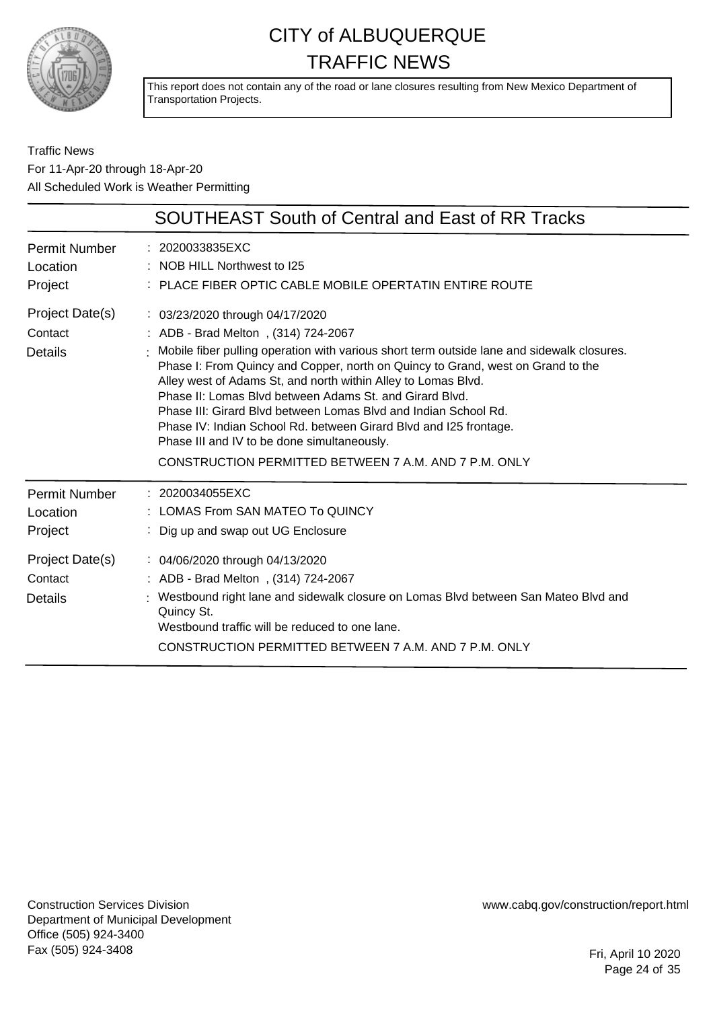

This report does not contain any of the road or lane closures resulting from New Mexico Department of Transportation Projects.

Traffic News For 11-Apr-20 through 18-Apr-20 All Scheduled Work is Weather Permitting

|                                                                                      | <b>SOUTHEAST South of Central and East of RR Tracks</b>                                                                                                                                                                                                                                                                                                                                                                                                                                                                                                                                                                             |
|--------------------------------------------------------------------------------------|-------------------------------------------------------------------------------------------------------------------------------------------------------------------------------------------------------------------------------------------------------------------------------------------------------------------------------------------------------------------------------------------------------------------------------------------------------------------------------------------------------------------------------------------------------------------------------------------------------------------------------------|
| Permit Number<br>Location<br>Project                                                 | : 2020033835EXC<br>NOB HILL Northwest to I25<br>PLACE FIBER OPTIC CABLE MOBILE OPERTATIN ENTIRE ROUTE                                                                                                                                                                                                                                                                                                                                                                                                                                                                                                                               |
| Project Date(s)<br>Contact<br><b>Details</b>                                         | : 03/23/2020 through 04/17/2020<br>: ADB - Brad Melton, (314) 724-2067<br>Mobile fiber pulling operation with various short term outside lane and sidewalk closures.<br>Phase I: From Quincy and Copper, north on Quincy to Grand, west on Grand to the<br>Alley west of Adams St, and north within Alley to Lomas Blvd.<br>Phase II: Lomas Blyd between Adams St. and Girard Blyd.<br>Phase III: Girard Blyd between Lomas Blyd and Indian School Rd.<br>Phase IV: Indian School Rd. between Girard Blvd and I25 frontage.<br>Phase III and IV to be done simultaneously.<br>CONSTRUCTION PERMITTED BETWEEN 7 A.M. AND 7 P.M. ONLY |
| <b>Permit Number</b><br>Location<br>Project<br>Project Date(s)<br>Contact<br>Details | : 2020034055EXC<br>LOMAS From SAN MATEO To QUINCY<br>Dig up and swap out UG Enclosure<br>: 04/06/2020 through 04/13/2020<br>: ADB - Brad Melton, (314) 724-2067<br>Westbound right lane and sidewalk closure on Lomas Blvd between San Mateo Blvd and<br>Quincy St.<br>Westbound traffic will be reduced to one lane.<br>CONSTRUCTION PERMITTED BETWEEN 7 A.M. AND 7 P.M. ONLY                                                                                                                                                                                                                                                      |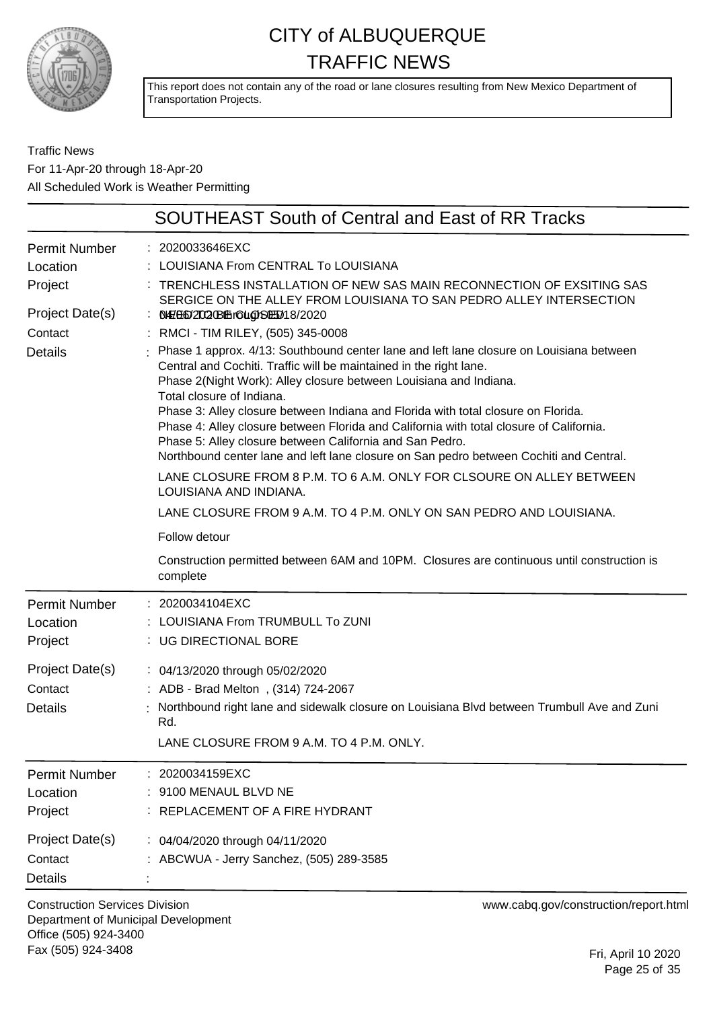

This report does not contain any of the road or lane closures resulting from New Mexico Department of Transportation Projects.

#### Traffic News For 11-Apr-20 through 18-Apr-20 All Scheduled Work is Weather Permitting

|                                                                                             | <b>SOUTHEAST South of Central and East of RR Tracks</b>                                                                                                                                                                                                                                                                                                                                                                                                                                                                                                                                                                                                                                                                                                                                                                                                                                                                                                                                                                                                                                   |
|---------------------------------------------------------------------------------------------|-------------------------------------------------------------------------------------------------------------------------------------------------------------------------------------------------------------------------------------------------------------------------------------------------------------------------------------------------------------------------------------------------------------------------------------------------------------------------------------------------------------------------------------------------------------------------------------------------------------------------------------------------------------------------------------------------------------------------------------------------------------------------------------------------------------------------------------------------------------------------------------------------------------------------------------------------------------------------------------------------------------------------------------------------------------------------------------------|
| <b>Permit Number</b><br>Location<br>Project<br>Project Date(s)<br>Contact<br><b>Details</b> | : 2020033646EXC<br>LOUISIANA From CENTRAL To LOUISIANA<br>TRENCHLESS INSTALLATION OF NEW SAS MAIN RECONNECTION OF EXSITING SAS<br>SERGICE ON THE ALLEY FROM LOUISIANA TO SAN PEDRO ALLEY INTERSECTION<br><b>NHFE602T020B1Ehr6UgDS0E5018/2020</b><br>: RMCI - TIM RILEY, (505) 345-0008<br>Phase 1 approx. 4/13: Southbound center lane and left lane closure on Louisiana between<br>Central and Cochiti. Traffic will be maintained in the right lane.<br>Phase 2(Night Work): Alley closure between Louisiana and Indiana.<br>Total closure of Indiana.<br>Phase 3: Alley closure between Indiana and Florida with total closure on Florida.<br>Phase 4: Alley closure between Florida and California with total closure of California.<br>Phase 5: Alley closure between California and San Pedro.<br>Northbound center lane and left lane closure on San pedro between Cochiti and Central.<br>LANE CLOSURE FROM 8 P.M. TO 6 A.M. ONLY FOR CLSOURE ON ALLEY BETWEEN<br>LOUISIANA AND INDIANA.<br>LANE CLOSURE FROM 9 A.M. TO 4 P.M. ONLY ON SAN PEDRO AND LOUISIANA.<br>Follow detour |
|                                                                                             | Construction permitted between 6AM and 10PM. Closures are continuous until construction is<br>complete                                                                                                                                                                                                                                                                                                                                                                                                                                                                                                                                                                                                                                                                                                                                                                                                                                                                                                                                                                                    |
| <b>Permit Number</b><br>Location<br>Project<br>Project Date(s)<br>Contact<br><b>Details</b> | : 2020034104EXC<br>LOUISIANA From TRUMBULL To ZUNI<br>: UG DIRECTIONAL BORE<br>: 04/13/2020 through 05/02/2020<br>: ADB - Brad Melton, (314) 724-2067<br>Northbound right lane and sidewalk closure on Louisiana Blvd between Trumbull Ave and Zuni<br>Rd.<br>LANE CLOSURE FROM 9 A.M. TO 4 P.M. ONLY.                                                                                                                                                                                                                                                                                                                                                                                                                                                                                                                                                                                                                                                                                                                                                                                    |
| <b>Permit Number</b><br>Location<br>Project<br>Project Date(s)<br>Contact<br><b>Details</b> | 2020034159EXC<br>9100 MENAUL BLVD NE<br>REPLACEMENT OF A FIRE HYDRANT<br>: 04/04/2020 through 04/11/2020<br>ABCWUA - Jerry Sanchez, (505) 289-3585                                                                                                                                                                                                                                                                                                                                                                                                                                                                                                                                                                                                                                                                                                                                                                                                                                                                                                                                        |

Construction Services Division Department of Municipal Development Office (505) 924-3400 Fax (505) 924-3408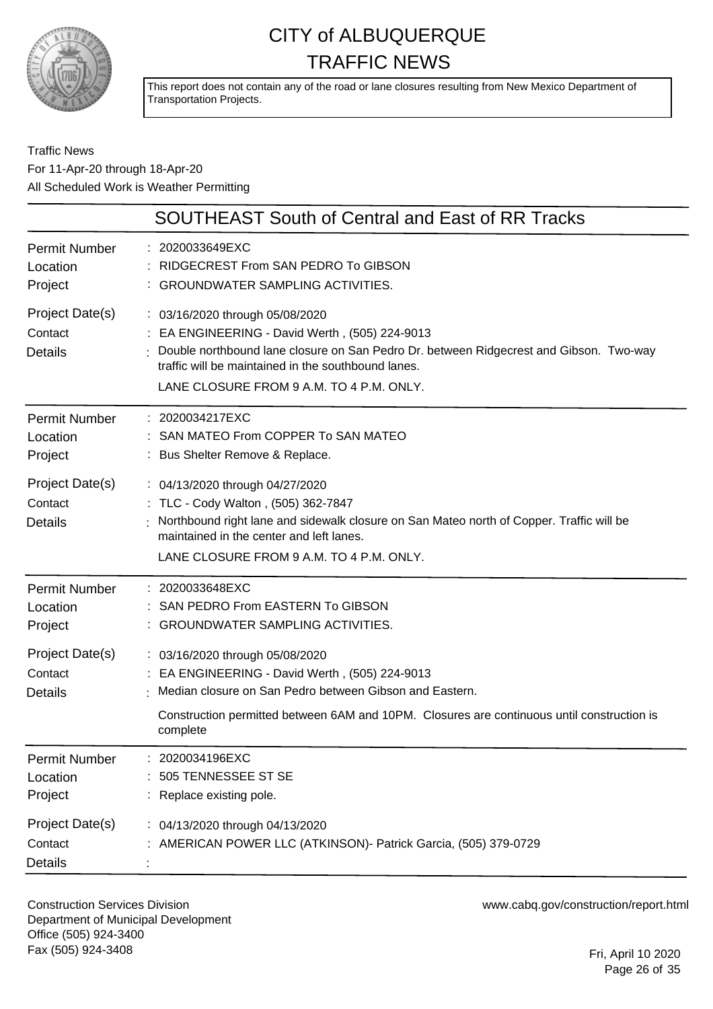

This report does not contain any of the road or lane closures resulting from New Mexico Department of Transportation Projects.

#### Traffic News For 11-Apr-20 through 18-Apr-20 All Scheduled Work is Weather Permitting

|                                              | <b>SOUTHEAST South of Central and East of RR Tracks</b>                                                                                                                                                                                                                          |
|----------------------------------------------|----------------------------------------------------------------------------------------------------------------------------------------------------------------------------------------------------------------------------------------------------------------------------------|
| Permit Number<br>Location<br>Project         | : 2020033649EXC<br>RIDGECREST From SAN PEDRO To GIBSON<br>: GROUNDWATER SAMPLING ACTIVITIES.                                                                                                                                                                                     |
| Project Date(s)<br>Contact<br><b>Details</b> | : 03/16/2020 through 05/08/2020<br>: EA ENGINEERING - David Werth, (505) 224-9013<br>: Double northbound lane closure on San Pedro Dr. between Ridgecrest and Gibson. Two-way<br>traffic will be maintained in the southbound lanes.<br>LANE CLOSURE FROM 9 A.M. TO 4 P.M. ONLY. |
| Permit Number<br>Location<br>Project         | : 2020034217EXC<br>: SAN MATEO From COPPER To SAN MATEO<br>: Bus Shelter Remove & Replace.                                                                                                                                                                                       |
| Project Date(s)<br>Contact<br><b>Details</b> | : 04/13/2020 through 04/27/2020<br>: TLC - Cody Walton, (505) 362-7847<br>Northbound right lane and sidewalk closure on San Mateo north of Copper. Traffic will be<br>maintained in the center and left lanes.<br>LANE CLOSURE FROM 9 A.M. TO 4 P.M. ONLY.                       |
| Permit Number<br>Location<br>Project         | : 2020033648EXC<br>SAN PEDRO From EASTERN To GIBSON<br>: GROUNDWATER SAMPLING ACTIVITIES.                                                                                                                                                                                        |
| Project Date(s)<br>Contact<br><b>Details</b> | : 03/16/2020 through 05/08/2020<br>: EA ENGINEERING - David Werth, (505) 224-9013<br>Median closure on San Pedro between Gibson and Eastern.<br>Construction permitted between 6AM and 10PM. Closures are continuous until construction is<br>complete                           |
| Permit Number<br>Location<br>Project         | 2020034196EXC<br>505 TENNESSEE ST SE<br>: Replace existing pole.                                                                                                                                                                                                                 |
| Project Date(s)<br>Contact<br><b>Details</b> | : 04/13/2020 through 04/13/2020<br>AMERICAN POWER LLC (ATKINSON)- Patrick Garcia, (505) 379-0729                                                                                                                                                                                 |

Construction Services Division Department of Municipal Development Office (505) 924-3400 Fax (505) 924-3408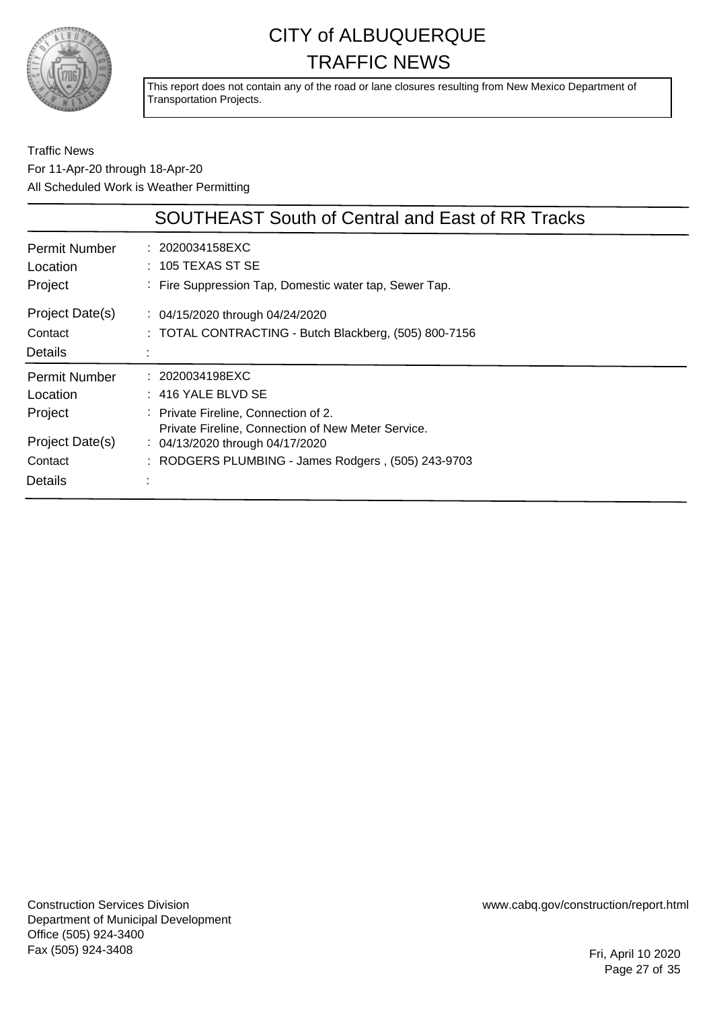

This report does not contain any of the road or lane closures resulting from New Mexico Department of Transportation Projects.

#### Traffic News For 11-Apr-20 through 18-Apr-20 All Scheduled Work is Weather Permitting

|                                              | <b>SOUTHEAST South of Central and East of RR Tracks</b>                                             |
|----------------------------------------------|-----------------------------------------------------------------------------------------------------|
| <b>Permit Number</b>                         | : 2020034158EXC                                                                                     |
| Location                                     | $:~$ 105 TEXAS ST SE                                                                                |
| Project                                      | : Fire Suppression Tap, Domestic water tap, Sewer Tap.                                              |
| Project Date(s)<br>Contact<br><b>Details</b> | $\therefore$ 04/15/2020 through 04/24/2020<br>: TOTAL CONTRACTING - Butch Blackberg, (505) 800-7156 |
| <b>Permit Number</b>                         | : 2020034198EXC                                                                                     |
| Location                                     | $: 416$ YALE BLVD SE                                                                                |
| Project                                      | : Private Fireline, Connection of 2.                                                                |
| Project Date(s)                              | Private Fireline, Connection of New Meter Service.                                                  |
| Contact                                      | $\frac{1}{2}$ 04/13/2020 through 04/17/2020                                                         |
| Details                                      | : RODGERS PLUMBING - James Rodgers, (505) 243-9703                                                  |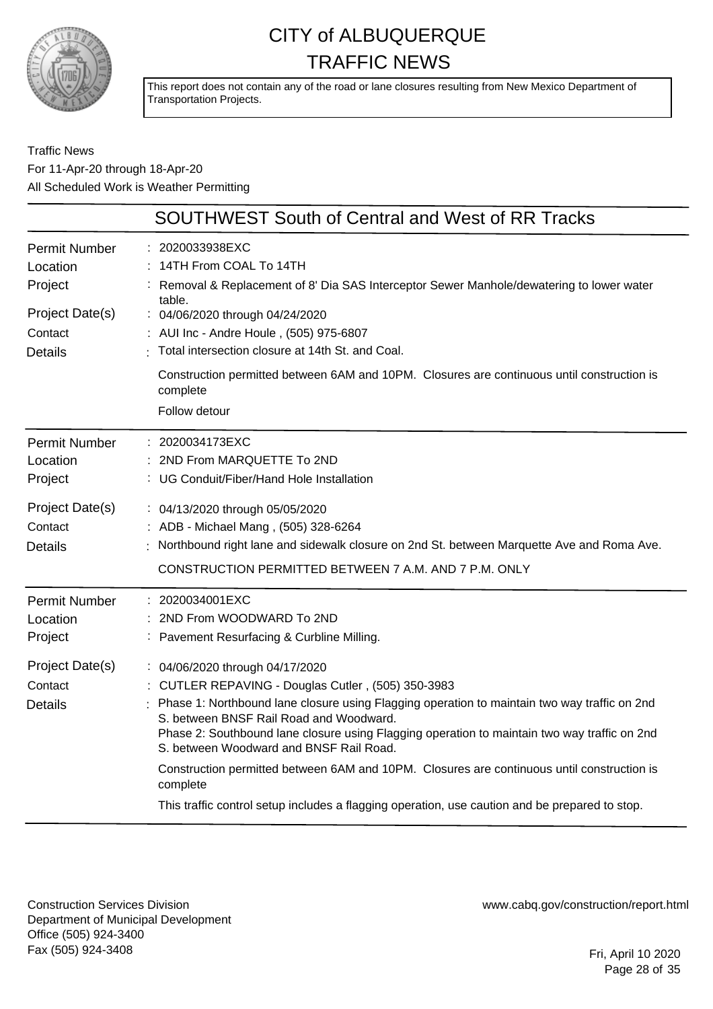

This report does not contain any of the road or lane closures resulting from New Mexico Department of Transportation Projects.

#### Traffic News For 11-Apr-20 through 18-Apr-20 All Scheduled Work is Weather Permitting

|                                                                                             | <b>SOUTHWEST South of Central and West of RR Tracks</b>                                                                                                                                                                                                                                                                                                                                                                                                                                                                                                                                 |
|---------------------------------------------------------------------------------------------|-----------------------------------------------------------------------------------------------------------------------------------------------------------------------------------------------------------------------------------------------------------------------------------------------------------------------------------------------------------------------------------------------------------------------------------------------------------------------------------------------------------------------------------------------------------------------------------------|
| <b>Permit Number</b><br>Location<br>Project<br>Project Date(s)<br>Contact<br><b>Details</b> | 2020033938EXC<br>14TH From COAL To 14TH<br>Removal & Replacement of 8' Dia SAS Interceptor Sewer Manhole/dewatering to lower water<br>table.<br>: 04/06/2020 through 04/24/2020<br>: AUI Inc - Andre Houle, (505) 975-6807<br>Total intersection closure at 14th St. and Coal.                                                                                                                                                                                                                                                                                                          |
|                                                                                             | Construction permitted between 6AM and 10PM. Closures are continuous until construction is<br>complete<br>Follow detour                                                                                                                                                                                                                                                                                                                                                                                                                                                                 |
| <b>Permit Number</b><br>Location<br>Project                                                 | 2020034173EXC<br>2ND From MARQUETTE To 2ND<br>UG Conduit/Fiber/Hand Hole Installation                                                                                                                                                                                                                                                                                                                                                                                                                                                                                                   |
| Project Date(s)<br>Contact<br><b>Details</b>                                                | : 04/13/2020 through 05/05/2020<br>ADB - Michael Mang, (505) 328-6264<br>Northbound right lane and sidewalk closure on 2nd St. between Marquette Ave and Roma Ave.<br>CONSTRUCTION PERMITTED BETWEEN 7 A.M. AND 7 P.M. ONLY                                                                                                                                                                                                                                                                                                                                                             |
| <b>Permit Number</b><br>Location<br>Project                                                 | 2020034001EXC<br>2ND From WOODWARD To 2ND<br>Pavement Resurfacing & Curbline Milling.                                                                                                                                                                                                                                                                                                                                                                                                                                                                                                   |
| Project Date(s)<br>Contact<br><b>Details</b>                                                | : 04/06/2020 through 04/17/2020<br>: CUTLER REPAVING - Douglas Cutler, (505) 350-3983<br>Phase 1: Northbound lane closure using Flagging operation to maintain two way traffic on 2nd<br>S. between BNSF Rail Road and Woodward.<br>Phase 2: Southbound lane closure using Flagging operation to maintain two way traffic on 2nd<br>S. between Woodward and BNSF Rail Road.<br>Construction permitted between 6AM and 10PM. Closures are continuous until construction is<br>complete<br>This traffic control setup includes a flagging operation, use caution and be prepared to stop. |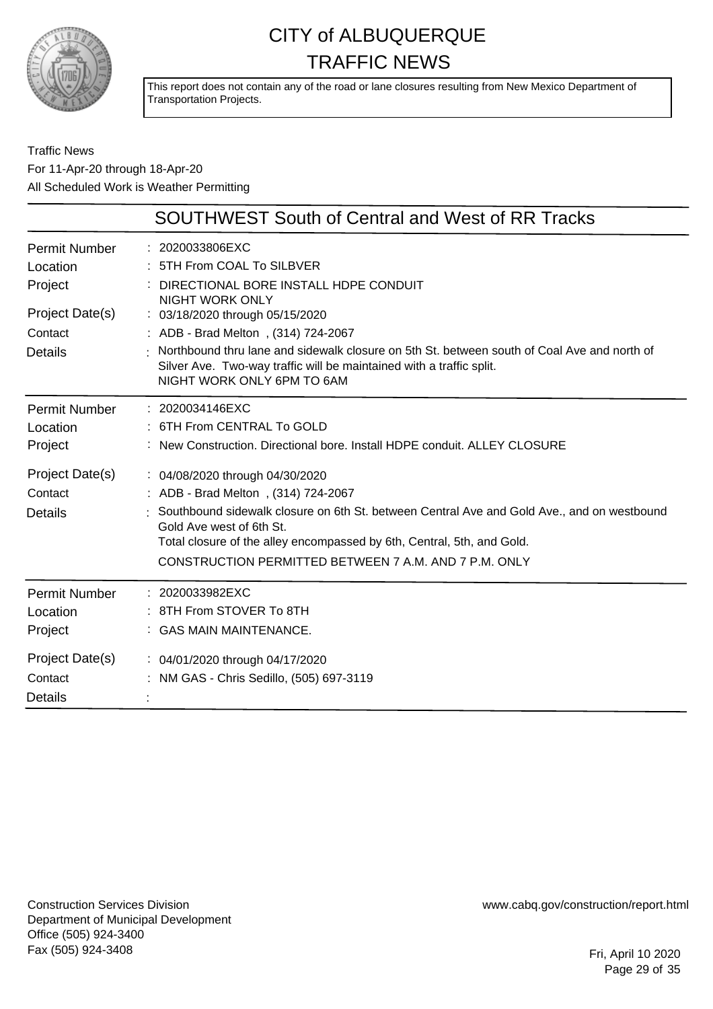

This report does not contain any of the road or lane closures resulting from New Mexico Department of Transportation Projects.

Traffic News For 11-Apr-20 through 18-Apr-20 All Scheduled Work is Weather Permitting

|                                              | <b>SOUTHWEST South of Central and West of RR Tracks</b>                                                                                                                                                                                                                                                                             |
|----------------------------------------------|-------------------------------------------------------------------------------------------------------------------------------------------------------------------------------------------------------------------------------------------------------------------------------------------------------------------------------------|
| Permit Number<br>Location<br>Project         | : 2020033806EXC<br>5TH From COAL To SILBVER<br>DIRECTIONAL BORE INSTALL HDPE CONDUIT                                                                                                                                                                                                                                                |
| Project Date(s)<br>Contact                   | <b>NIGHT WORK ONLY</b><br>: 03/18/2020 through 05/15/2020<br>: ADB - Brad Melton, (314) 724-2067                                                                                                                                                                                                                                    |
| <b>Details</b>                               | Northbound thru lane and sidewalk closure on 5th St. between south of Coal Ave and north of<br>Silver Ave. Two-way traffic will be maintained with a traffic split.<br>NIGHT WORK ONLY 6PM TO 6AM                                                                                                                                   |
| <b>Permit Number</b><br>Location<br>Project  | : 2020034146EXC<br>6TH From CENTRAL To GOLD<br>: New Construction, Directional bore, Install HDPE conduit, ALLEY CLOSURE                                                                                                                                                                                                            |
| Project Date(s)<br>Contact<br><b>Details</b> | : 04/08/2020 through 04/30/2020<br>: ADB - Brad Melton, (314) 724-2067<br>Southbound sidewalk closure on 6th St. between Central Ave and Gold Ave., and on westbound<br>Gold Ave west of 6th St.<br>Total closure of the alley encompassed by 6th, Central, 5th, and Gold.<br>CONSTRUCTION PERMITTED BETWEEN 7 A.M. AND 7 P.M. ONLY |
| <b>Permit Number</b><br>Location<br>Project  | : 2020033982EXC<br>: 8TH From STOVER To 8TH<br>: GAS MAIN MAINTENANCE.                                                                                                                                                                                                                                                              |
| Project Date(s)<br>Contact<br><b>Details</b> | : 04/01/2020 through 04/17/2020<br>: NM GAS - Chris Sedillo, (505) 697-3119                                                                                                                                                                                                                                                         |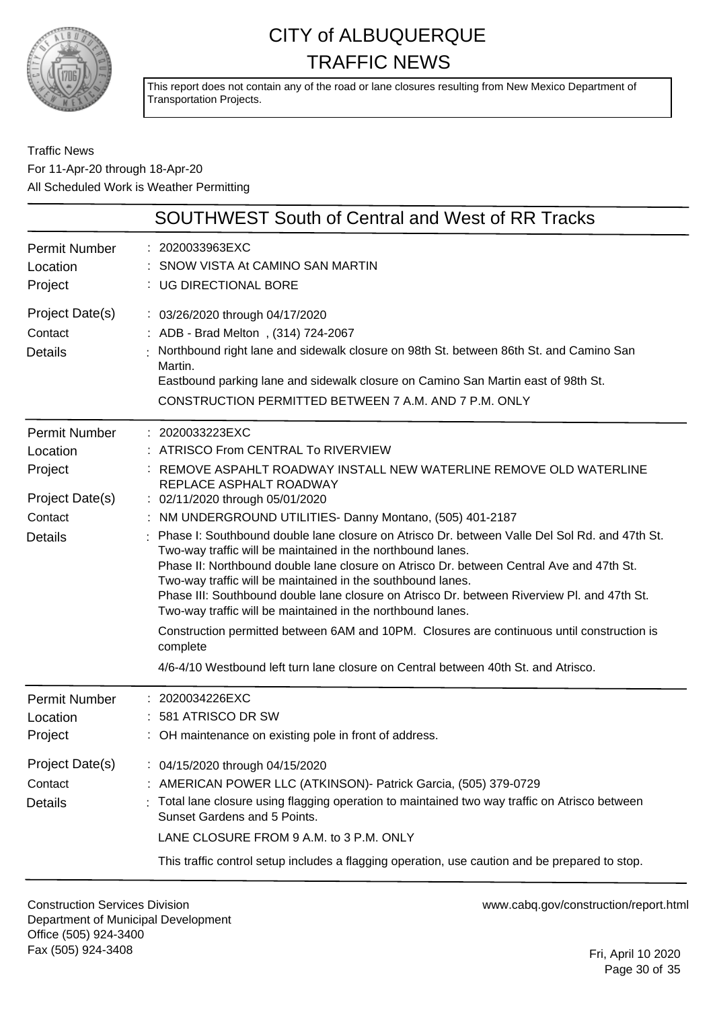

This report does not contain any of the road or lane closures resulting from New Mexico Department of Transportation Projects.

Traffic News For 11-Apr-20 through 18-Apr-20 All Scheduled Work is Weather Permitting

|                                                                                             | <b>SOUTHWEST South of Central and West of RR Tracks</b>                                                                                                                                                                                                                                                                                                                                                                                                                                                                                                                                                                                                                                                                                                                                                                                                                                                                                         |
|---------------------------------------------------------------------------------------------|-------------------------------------------------------------------------------------------------------------------------------------------------------------------------------------------------------------------------------------------------------------------------------------------------------------------------------------------------------------------------------------------------------------------------------------------------------------------------------------------------------------------------------------------------------------------------------------------------------------------------------------------------------------------------------------------------------------------------------------------------------------------------------------------------------------------------------------------------------------------------------------------------------------------------------------------------|
| <b>Permit Number</b><br>Location<br>Project                                                 | : 2020033963EXC<br>SNOW VISTA At CAMINO SAN MARTIN<br>: UG DIRECTIONAL BORE                                                                                                                                                                                                                                                                                                                                                                                                                                                                                                                                                                                                                                                                                                                                                                                                                                                                     |
| Project Date(s)<br>Contact<br><b>Details</b>                                                | : 03/26/2020 through 04/17/2020<br>: ADB - Brad Melton, (314) 724-2067<br>Northbound right lane and sidewalk closure on 98th St. between 86th St. and Camino San<br>Martin.<br>Eastbound parking lane and sidewalk closure on Camino San Martin east of 98th St.<br>CONSTRUCTION PERMITTED BETWEEN 7 A.M. AND 7 P.M. ONLY                                                                                                                                                                                                                                                                                                                                                                                                                                                                                                                                                                                                                       |
| <b>Permit Number</b><br>Location<br>Project<br>Project Date(s)<br>Contact<br><b>Details</b> | : 2020033223EXC<br>: ATRISCO From CENTRAL To RIVERVIEW<br>REMOVE ASPAHLT ROADWAY INSTALL NEW WATERLINE REMOVE OLD WATERLINE<br>REPLACE ASPHALT ROADWAY<br>: 02/11/2020 through 05/01/2020<br>: NM UNDERGROUND UTILITIES- Danny Montano, (505) 401-2187<br>Phase I: Southbound double lane closure on Atrisco Dr. between Valle Del Sol Rd. and 47th St.<br>Two-way traffic will be maintained in the northbound lanes.<br>Phase II: Northbound double lane closure on Atrisco Dr. between Central Ave and 47th St.<br>Two-way traffic will be maintained in the southbound lanes.<br>Phase III: Southbound double lane closure on Atrisco Dr. between Riverview PI. and 47th St.<br>Two-way traffic will be maintained in the northbound lanes.<br>Construction permitted between 6AM and 10PM. Closures are continuous until construction is<br>complete<br>4/6-4/10 Westbound left turn lane closure on Central between 40th St. and Atrisco. |
| <b>Permit Number</b><br>Location<br>Project                                                 | 2020034226EXC<br>581 ATRISCO DR SW<br>: OH maintenance on existing pole in front of address.                                                                                                                                                                                                                                                                                                                                                                                                                                                                                                                                                                                                                                                                                                                                                                                                                                                    |
| Project Date(s)<br>Contact<br><b>Details</b>                                                | : 04/15/2020 through 04/15/2020<br>: AMERICAN POWER LLC (ATKINSON) - Patrick Garcia, (505) 379-0729<br>Total lane closure using flagging operation to maintained two way traffic on Atrisco between<br>Sunset Gardens and 5 Points.<br>LANE CLOSURE FROM 9 A.M. to 3 P.M. ONLY<br>This traffic control setup includes a flagging operation, use caution and be prepared to stop.                                                                                                                                                                                                                                                                                                                                                                                                                                                                                                                                                                |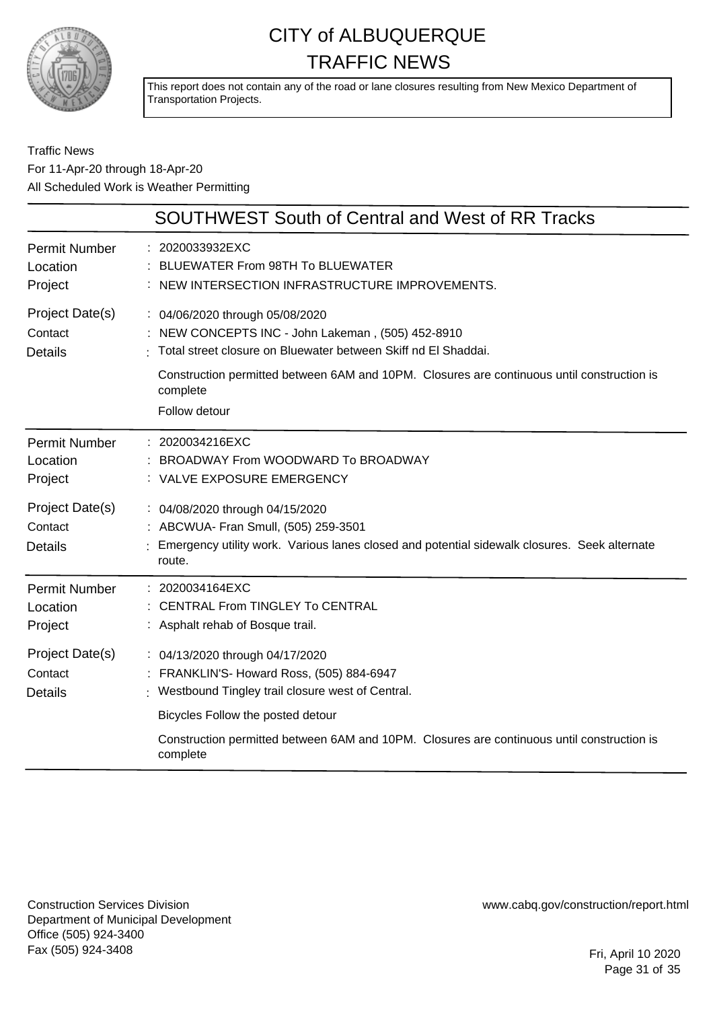

This report does not contain any of the road or lane closures resulting from New Mexico Department of Transportation Projects.

#### Traffic News For 11-Apr-20 through 18-Apr-20 All Scheduled Work is Weather Permitting

|                                              | <b>SOUTHWEST South of Central and West of RR Tracks</b>                                                                                                                           |
|----------------------------------------------|-----------------------------------------------------------------------------------------------------------------------------------------------------------------------------------|
| <b>Permit Number</b><br>Location<br>Project  | : 2020033932EXC<br>BLUEWATER From 98TH To BLUEWATER<br>NEW INTERSECTION INFRASTRUCTURE IMPROVEMENTS.                                                                              |
| Project Date(s)<br>Contact<br><b>Details</b> | : 04/06/2020 through 05/08/2020<br>NEW CONCEPTS INC - John Lakeman, (505) 452-8910<br>Total street closure on Bluewater between Skiff nd El Shaddai.                              |
|                                              | Construction permitted between 6AM and 10PM. Closures are continuous until construction is<br>complete<br>Follow detour                                                           |
| Permit Number<br>Location<br>Project         | : 2020034216EXC<br>BROADWAY From WOODWARD To BROADWAY<br>: VALVE EXPOSURE EMERGENCY                                                                                               |
| Project Date(s)<br>Contact<br><b>Details</b> | : 04/08/2020 through 04/15/2020<br>: ABCWUA- Fran Smull, (505) 259-3501<br>Emergency utility work. Various lanes closed and potential sidewalk closures. Seek alternate<br>route. |
| <b>Permit Number</b><br>Location<br>Project  | : 2020034164EXC<br><b>CENTRAL From TINGLEY To CENTRAL</b><br>: Asphalt rehab of Bosque trail.                                                                                     |
| Project Date(s)<br>Contact<br><b>Details</b> | : 04/13/2020 through 04/17/2020<br>: FRANKLIN'S- Howard Ross, (505) 884-6947<br>Westbound Tingley trail closure west of Central.                                                  |
|                                              | Bicycles Follow the posted detour<br>Construction permitted between 6AM and 10PM. Closures are continuous until construction is<br>complete                                       |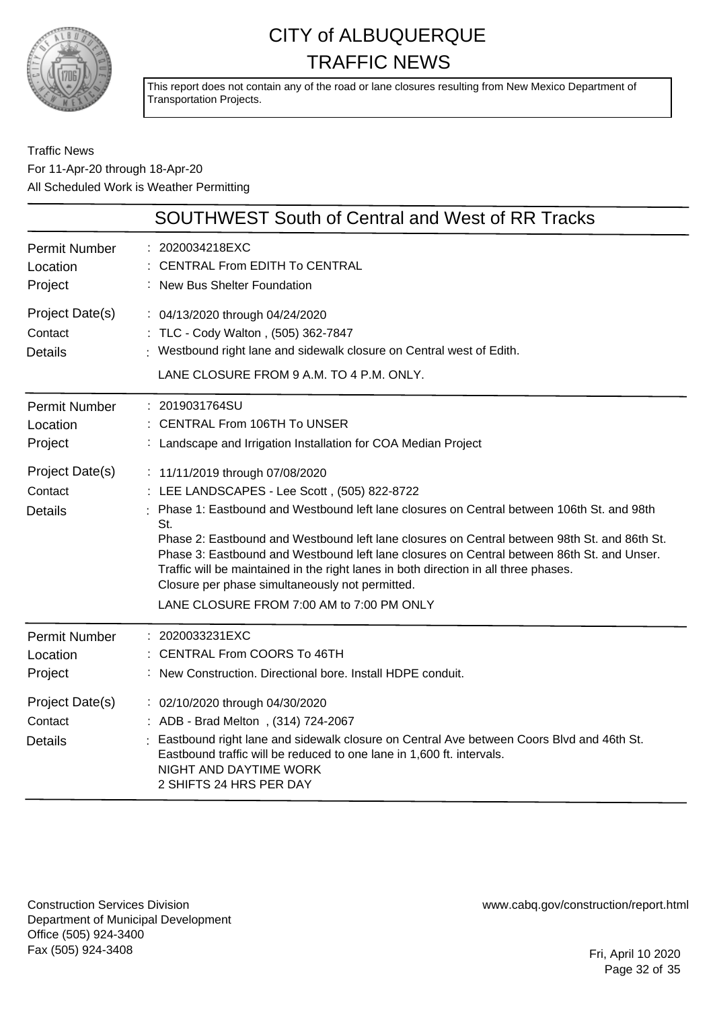

This report does not contain any of the road or lane closures resulting from New Mexico Department of Transportation Projects.

#### Traffic News For 11-Apr-20 through 18-Apr-20 All Scheduled Work is Weather Permitting

|                                              | <b>SOUTHWEST South of Central and West of RR Tracks</b>                                                                                                                                                                                                                                                                                                                                                                                                                                                                                                                   |
|----------------------------------------------|---------------------------------------------------------------------------------------------------------------------------------------------------------------------------------------------------------------------------------------------------------------------------------------------------------------------------------------------------------------------------------------------------------------------------------------------------------------------------------------------------------------------------------------------------------------------------|
| <b>Permit Number</b><br>Location<br>Project  | : 2020034218EXC<br><b>CENTRAL From EDITH To CENTRAL</b><br>: New Bus Shelter Foundation                                                                                                                                                                                                                                                                                                                                                                                                                                                                                   |
| Project Date(s)<br>Contact<br><b>Details</b> | : 04/13/2020 through 04/24/2020<br>: TLC - Cody Walton, (505) 362-7847<br>: Westbound right lane and sidewalk closure on Central west of Edith.<br>LANE CLOSURE FROM 9 A.M. TO 4 P.M. ONLY.                                                                                                                                                                                                                                                                                                                                                                               |
| <b>Permit Number</b><br>Location<br>Project  | : 2019031764SU<br>: CENTRAL From 106TH To UNSER<br>: Landscape and Irrigation Installation for COA Median Project                                                                                                                                                                                                                                                                                                                                                                                                                                                         |
| Project Date(s)<br>Contact<br><b>Details</b> | : 11/11/2019 through 07/08/2020<br>: LEE LANDSCAPES - Lee Scott, (505) 822-8722<br>Phase 1: Eastbound and Westbound left lane closures on Central between 106th St. and 98th<br>St.<br>Phase 2: Eastbound and Westbound left lane closures on Central between 98th St. and 86th St.<br>Phase 3: Eastbound and Westbound left lane closures on Central between 86th St. and Unser.<br>Traffic will be maintained in the right lanes in both direction in all three phases.<br>Closure per phase simultaneously not permitted.<br>LANE CLOSURE FROM 7:00 AM to 7:00 PM ONLY |
| Permit Number<br>Location<br>Project         | $: 2020033231 \text{EXC}$<br><b>CENTRAL From COORS To 46TH</b><br>New Construction. Directional bore. Install HDPE conduit.                                                                                                                                                                                                                                                                                                                                                                                                                                               |
| Project Date(s)<br>Contact<br><b>Details</b> | : 02/10/2020 through 04/30/2020<br>: ADB - Brad Melton, (314) 724-2067<br>Eastbound right lane and sidewalk closure on Central Ave between Coors Blvd and 46th St.<br>Eastbound traffic will be reduced to one lane in 1,600 ft. intervals.<br>NIGHT AND DAYTIME WORK<br>2 SHIFTS 24 HRS PER DAY                                                                                                                                                                                                                                                                          |

Construction Services Division Department of Municipal Development Office (505) 924-3400 Fax (505) 924-3408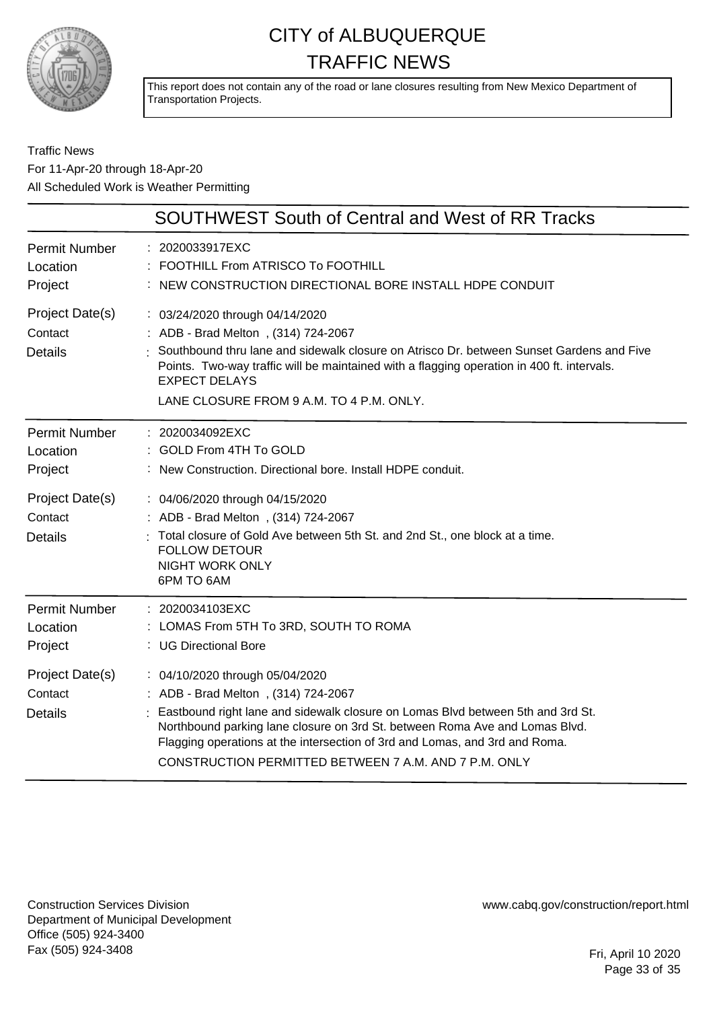

This report does not contain any of the road or lane closures resulting from New Mexico Department of Transportation Projects.

#### Traffic News For 11-Apr-20 through 18-Apr-20 All Scheduled Work is Weather Permitting

|                                                                                             | <b>SOUTHWEST South of Central and West of RR Tracks</b>                                                                                                                                                                                                                                                                                                                                                                                                                |
|---------------------------------------------------------------------------------------------|------------------------------------------------------------------------------------------------------------------------------------------------------------------------------------------------------------------------------------------------------------------------------------------------------------------------------------------------------------------------------------------------------------------------------------------------------------------------|
| <b>Permit Number</b><br>Location<br>Project                                                 | : 2020033917EXC<br>: FOOTHILL From ATRISCO To FOOTHILL<br>: NEW CONSTRUCTION DIRECTIONAL BORE INSTALL HDPE CONDUIT                                                                                                                                                                                                                                                                                                                                                     |
| Project Date(s)<br>Contact<br><b>Details</b>                                                | : 03/24/2020 through 04/14/2020<br>: ADB - Brad Melton, (314) 724-2067<br>Southbound thru lane and sidewalk closure on Atrisco Dr. between Sunset Gardens and Five<br>Points. Two-way traffic will be maintained with a flagging operation in 400 ft. intervals.<br><b>EXPECT DELAYS</b><br>LANE CLOSURE FROM 9 A.M. TO 4 P.M. ONLY.                                                                                                                                   |
| <b>Permit Number</b><br>Location<br>Project<br>Project Date(s)<br>Contact<br><b>Details</b> | : 2020034092EXC<br>: GOLD From 4TH To GOLD<br>: New Construction. Directional bore. Install HDPE conduit.<br>: 04/06/2020 through 04/15/2020<br>: ADB - Brad Melton, (314) 724-2067<br>Total closure of Gold Ave between 5th St. and 2nd St., one block at a time.<br><b>FOLLOW DETOUR</b><br><b>NIGHT WORK ONLY</b><br>6PM TO 6AM                                                                                                                                     |
| <b>Permit Number</b><br>Location<br>Project<br>Project Date(s)<br>Contact<br><b>Details</b> | : 2020034103EXC<br>: LOMAS From 5TH To 3RD, SOUTH TO ROMA<br>: UG Directional Bore<br>: 04/10/2020 through 05/04/2020<br>: ADB - Brad Melton, (314) 724-2067<br>Eastbound right lane and sidewalk closure on Lomas Blvd between 5th and 3rd St.<br>Northbound parking lane closure on 3rd St. between Roma Ave and Lomas Blvd.<br>Flagging operations at the intersection of 3rd and Lomas, and 3rd and Roma.<br>CONSTRUCTION PERMITTED BETWEEN 7 A.M. AND 7 P.M. ONLY |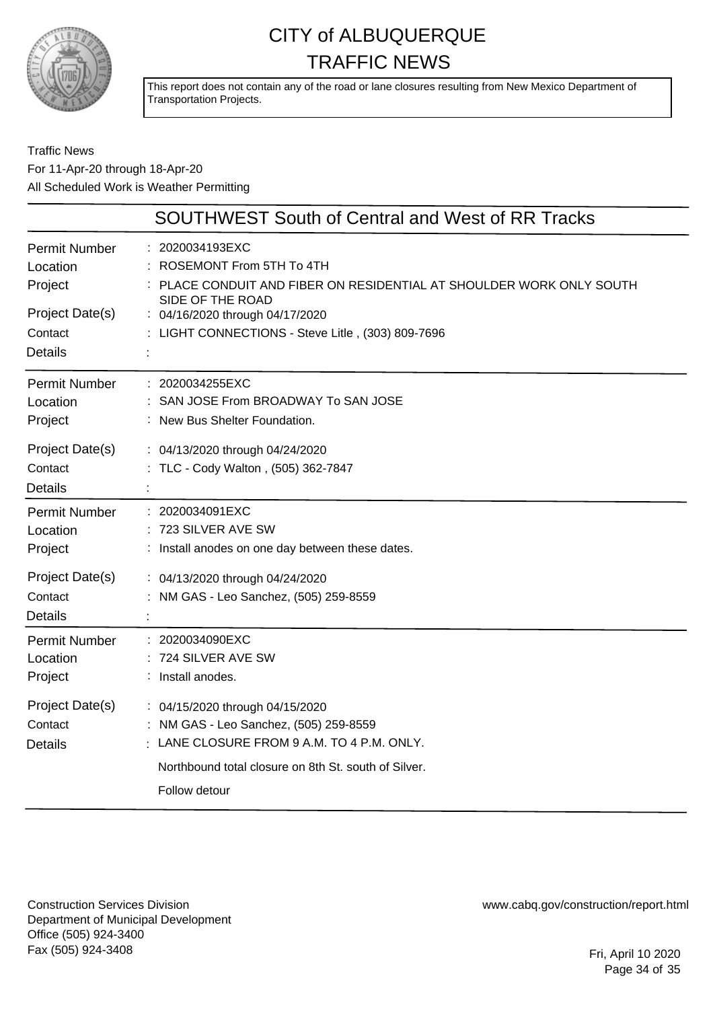

This report does not contain any of the road or lane closures resulting from New Mexico Department of Transportation Projects.

#### Traffic News For 11-Apr-20 through 18-Apr-20 All Scheduled Work is Weather Permitting

|                                              | <b>SOUTHWEST South of Central and West of RR Tracks</b>                                                                                                                                        |
|----------------------------------------------|------------------------------------------------------------------------------------------------------------------------------------------------------------------------------------------------|
| <b>Permit Number</b>                         | : 2020034193EXC                                                                                                                                                                                |
| Location                                     | ROSEMONT From 5TH To 4TH                                                                                                                                                                       |
| Project                                      | PLACE CONDUIT AND FIBER ON RESIDENTIAL AT SHOULDER WORK ONLY SOUTH                                                                                                                             |
| Project Date(s)                              | SIDE OF THE ROAD                                                                                                                                                                               |
| Contact                                      | : 04/16/2020 through 04/17/2020                                                                                                                                                                |
| <b>Details</b>                               | : LIGHT CONNECTIONS - Steve Litle, (303) 809-7696                                                                                                                                              |
| Permit Number                                | : 2020034255EXC                                                                                                                                                                                |
| Location                                     | SAN JOSE From BROADWAY To SAN JOSE                                                                                                                                                             |
| Project                                      | : New Bus Shelter Foundation.                                                                                                                                                                  |
| Project Date(s)<br>Contact<br><b>Details</b> | : 04/13/2020 through 04/24/2020<br>: TLC - Cody Walton, (505) 362-7847                                                                                                                         |
| Permit Number                                | : 2020034091EXC                                                                                                                                                                                |
| Location                                     | 723 SILVER AVE SW                                                                                                                                                                              |
| Project                                      | : Install anodes on one day between these dates.                                                                                                                                               |
| Project Date(s)<br>Contact<br><b>Details</b> | : 04/13/2020 through 04/24/2020<br>: NM GAS - Leo Sanchez, (505) 259-8559                                                                                                                      |
| Permit Number                                | : 2020034090EXC                                                                                                                                                                                |
| Location                                     | 724 SILVER AVE SW                                                                                                                                                                              |
| Project                                      | : Install anodes.                                                                                                                                                                              |
| Project Date(s)<br>Contact<br><b>Details</b> | : 04/15/2020 through 04/15/2020<br>: NM GAS - Leo Sanchez, (505) 259-8559<br>LANE CLOSURE FROM 9 A.M. TO 4 P.M. ONLY.<br>Northbound total closure on 8th St. south of Silver.<br>Follow detour |

Construction Services Division Department of Municipal Development Office (505) 924-3400 Fax (505) 924-3408